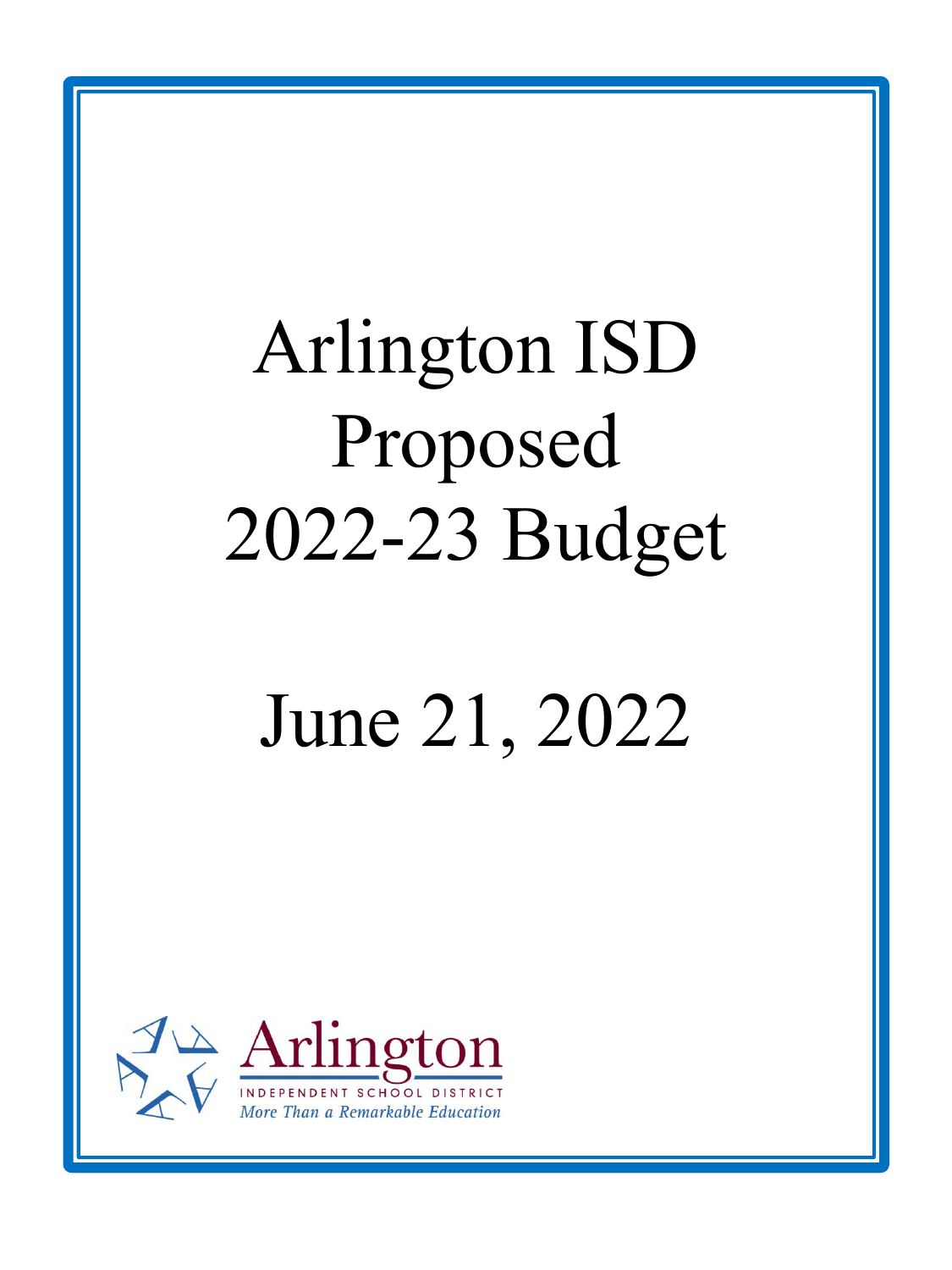# Arlington ISD Proposed 2022-23 Budget

# June 21, 2022

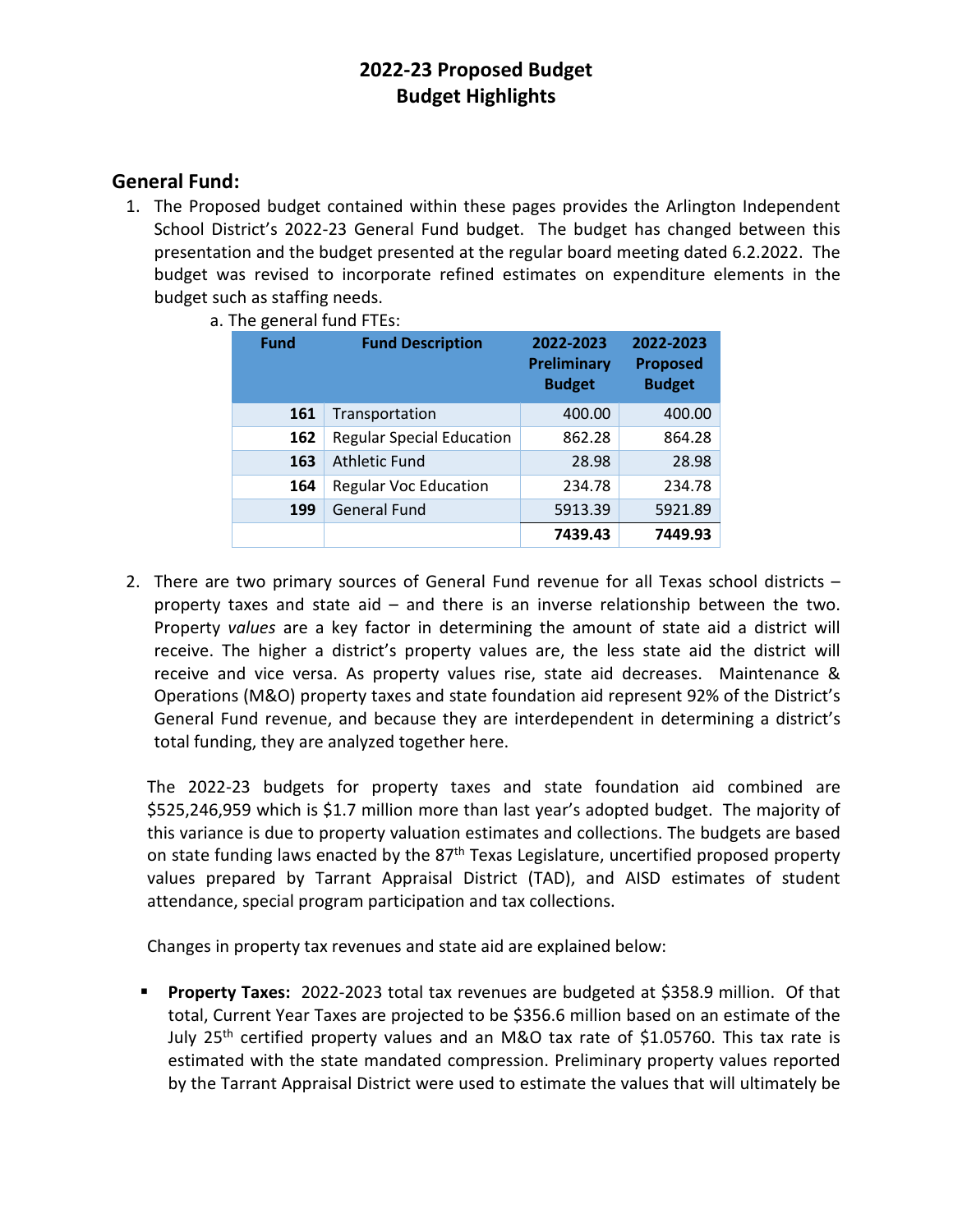### **General Fund:**

1. The Proposed budget contained within these pages provides the Arlington Independent School District's 2022-23 General Fund budget. The budget has changed between this presentation and the budget presented at the regular board meeting dated 6.2.2022. The budget was revised to incorporate refined estimates on expenditure elements in the budget such as staffing needs.

| <b>Fund</b> | <b>Fund Description</b>          | 2022-2023<br><b>Preliminary</b><br><b>Budget</b> | 2022-2023<br><b>Proposed</b><br><b>Budget</b> |  |
|-------------|----------------------------------|--------------------------------------------------|-----------------------------------------------|--|
| 161         | Transportation                   | 400.00                                           | 400.00                                        |  |
| 162         | <b>Regular Special Education</b> | 862.28                                           | 864.28                                        |  |
| 163         | <b>Athletic Fund</b>             | 28.98                                            | 28.98                                         |  |
| 164         | <b>Regular Voc Education</b>     | 234.78                                           | 234.78                                        |  |
| 199         | <b>General Fund</b>              | 5913.39                                          | 5921.89                                       |  |
|             |                                  | 7439.43                                          | 7449.93                                       |  |

a. The general fund FTEs:

2. There are two primary sources of General Fund revenue for all Texas school districts – property taxes and state aid – and there is an inverse relationship between the two. Property *values* are a key factor in determining the amount of state aid a district will receive. The higher a district's property values are, the less state aid the district will receive and vice versa. As property values rise, state aid decreases. Maintenance & Operations (M&O) property taxes and state foundation aid represent 92% of the District's General Fund revenue, and because they are interdependent in determining a district's total funding, they are analyzed together here.

The 2022-23 budgets for property taxes and state foundation aid combined are \$525,246,959 which is \$1.7 million more than last year's adopted budget. The majority of this variance is due to property valuation estimates and collections. The budgets are based on state funding laws enacted by the 87<sup>th</sup> Texas Legislature, uncertified proposed property values prepared by Tarrant Appraisal District (TAD), and AISD estimates of student attendance, special program participation and tax collections.

Changes in property tax revenues and state aid are explained below:

**Property Taxes:** 2022-2023 total tax revenues are budgeted at \$358.9 million. Of that total, Current Year Taxes are projected to be \$356.6 million based on an estimate of the July 25<sup>th</sup> certified property values and an M&O tax rate of \$1.05760. This tax rate is estimated with the state mandated compression. Preliminary property values reported by the Tarrant Appraisal District were used to estimate the values that will ultimately be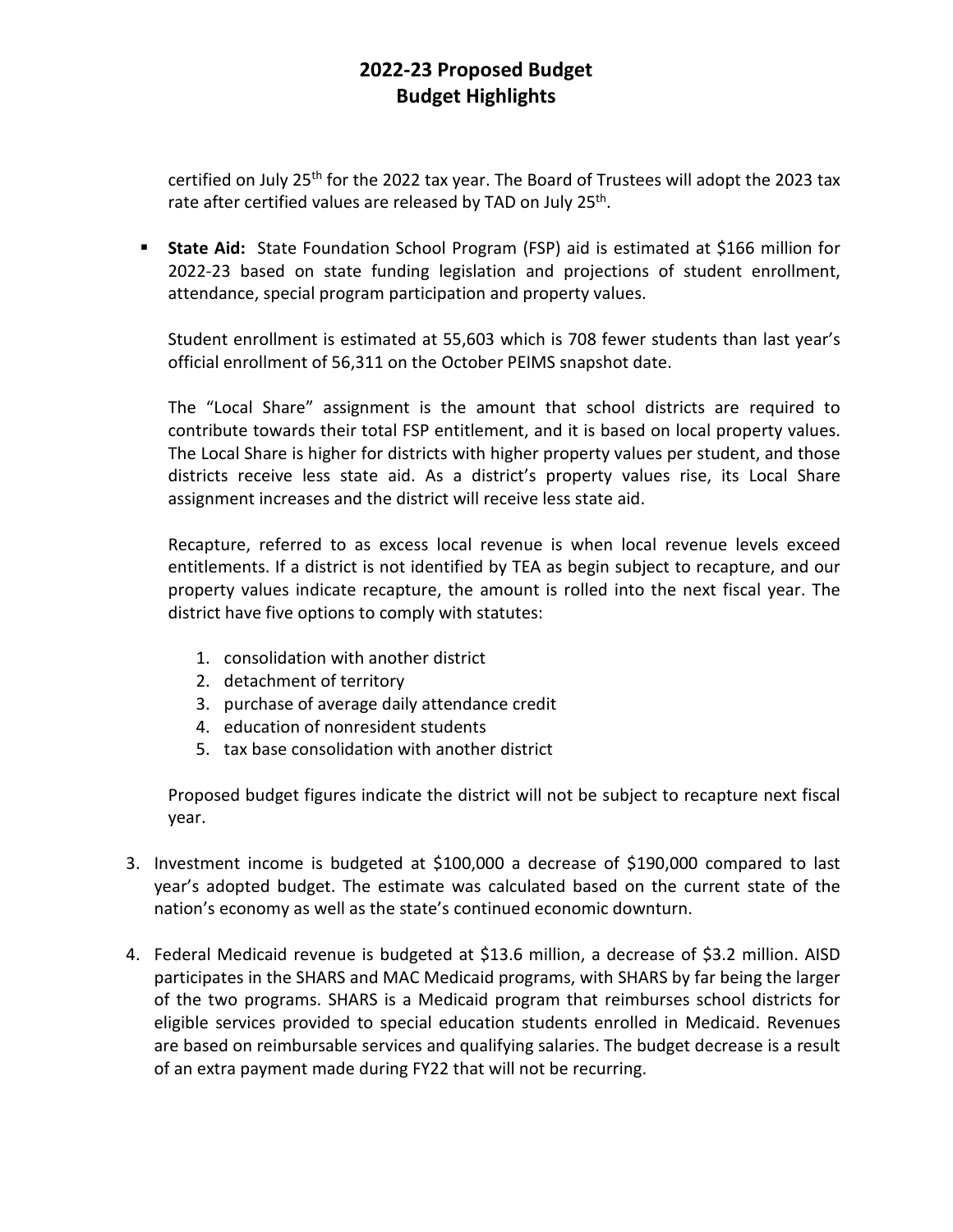certified on July 25<sup>th</sup> for the 2022 tax year. The Board of Trustees will adopt the 2023 tax rate after certified values are released by TAD on July 25<sup>th</sup>.

**State Aid:** State Foundation School Program (FSP) aid is estimated at \$166 million for 2022-23 based on state funding legislation and projections of student enrollment, attendance, special program participation and property values.

Student enrollment is estimated at 55,603 which is 708 fewer students than last year's official enrollment of 56,311 on the October PEIMS snapshot date.

The "Local Share" assignment is the amount that school districts are required to contribute towards their total FSP entitlement, and it is based on local property values. The Local Share is higher for districts with higher property values per student, and those districts receive less state aid. As a district's property values rise, its Local Share assignment increases and the district will receive less state aid.

Recapture, referred to as excess local revenue is when local revenue levels exceed entitlements. If a district is not identified by TEA as begin subject to recapture, and our property values indicate recapture, the amount is rolled into the next fiscal year. The district have five options to comply with statutes:

- 1. consolidation with another district
- 2. detachment of territory
- 3. purchase of average daily attendance credit
- 4. education of nonresident students
- 5. tax base consolidation with another district

Proposed budget figures indicate the district will not be subject to recapture next fiscal year.

- 3. Investment income is budgeted at \$100,000 a decrease of \$190,000 compared to last year's adopted budget. The estimate was calculated based on the current state of the nation's economy as well as the state's continued economic downturn.
- 4. Federal Medicaid revenue is budgeted at \$13.6 million, a decrease of \$3.2 million. AISD participates in the SHARS and MAC Medicaid programs, with SHARS by far being the larger of the two programs. SHARS is a Medicaid program that reimburses school districts for eligible services provided to special education students enrolled in Medicaid. Revenues are based on reimbursable services and qualifying salaries. The budget decrease is a result of an extra payment made during FY22 that will not be recurring.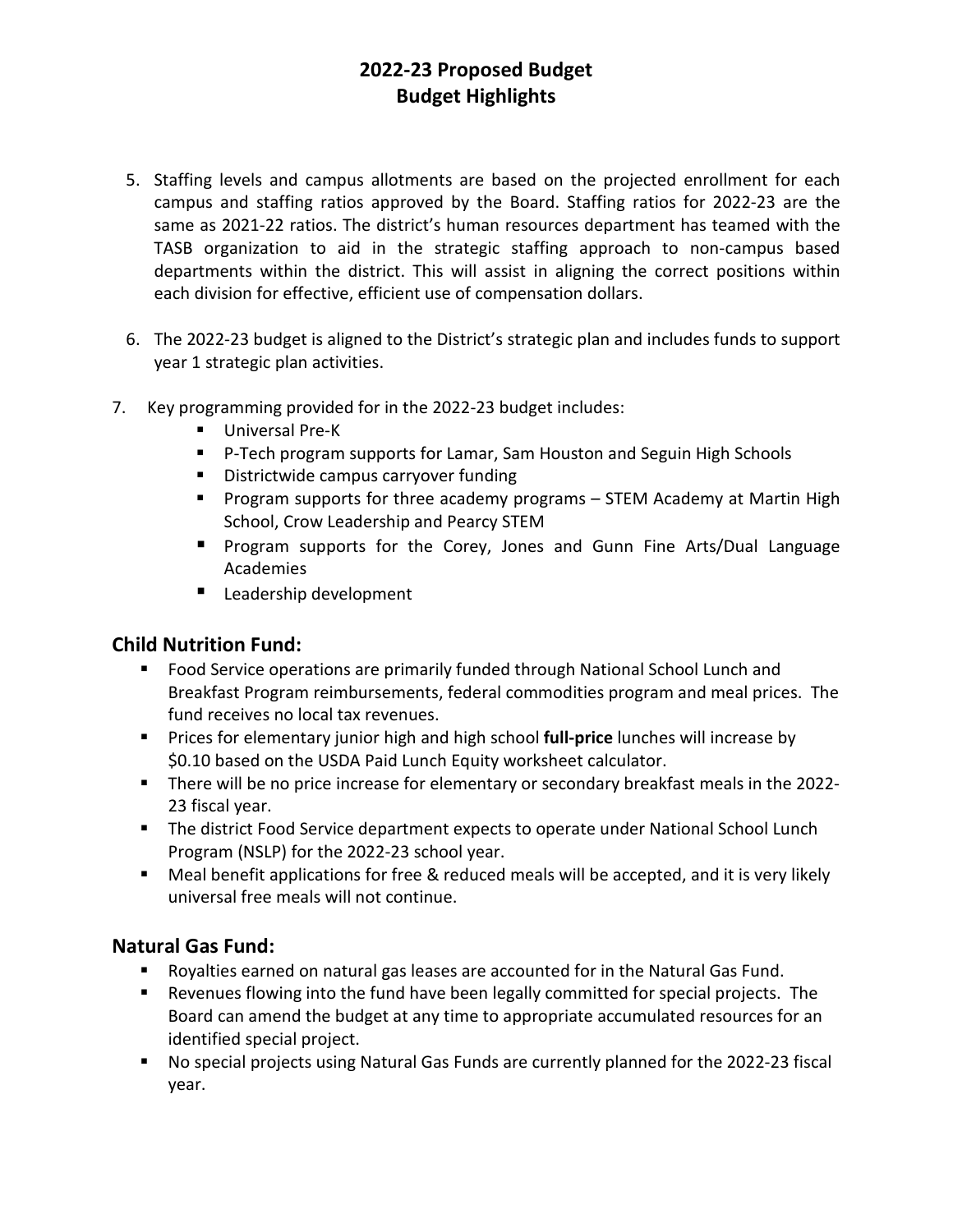- 5. Staffing levels and campus allotments are based on the projected enrollment for each campus and staffing ratios approved by the Board. Staffing ratios for 2022-23 are the same as 2021-22 ratios. The district's human resources department has teamed with the TASB organization to aid in the strategic staffing approach to non-campus based departments within the district. This will assist in aligning the correct positions within each division for effective, efficient use of compensation dollars.
- 6. The 2022-23 budget is aligned to the District's strategic plan and includes funds to support year 1 strategic plan activities.
- 7. Key programming provided for in the 2022-23 budget includes:
	- **Universal Pre-K**
	- P-Tech program supports for Lamar, Sam Houston and Seguin High Schools
	- **Districtwide campus carryover funding**
	- **Program supports for three academy programs STEM Academy at Martin High** School, Crow Leadership and Pearcy STEM
	- **Program supports for the Corey, Jones and Gunn Fine Arts/Dual Language** Academies
	- **Leadership development**

#### **Child Nutrition Fund:**

- Food Service operations are primarily funded through National School Lunch and Breakfast Program reimbursements, federal commodities program and meal prices. The fund receives no local tax revenues.
- **Prices for elementary junior high and high school full-price lunches will increase by** \$0.10 based on the USDA Paid Lunch Equity worksheet calculator.
- There will be no price increase for elementary or secondary breakfast meals in the 2022- 23 fiscal year.
- **The district Food Service department expects to operate under National School Lunch** Program (NSLP) for the 2022-23 school year.
- Meal benefit applications for free & reduced meals will be accepted, and it is very likely universal free meals will not continue.

#### **Natural Gas Fund:**

- Royalties earned on natural gas leases are accounted for in the Natural Gas Fund.
- Revenues flowing into the fund have been legally committed for special projects. The Board can amend the budget at any time to appropriate accumulated resources for an identified special project.
- No special projects using Natural Gas Funds are currently planned for the 2022-23 fiscal year.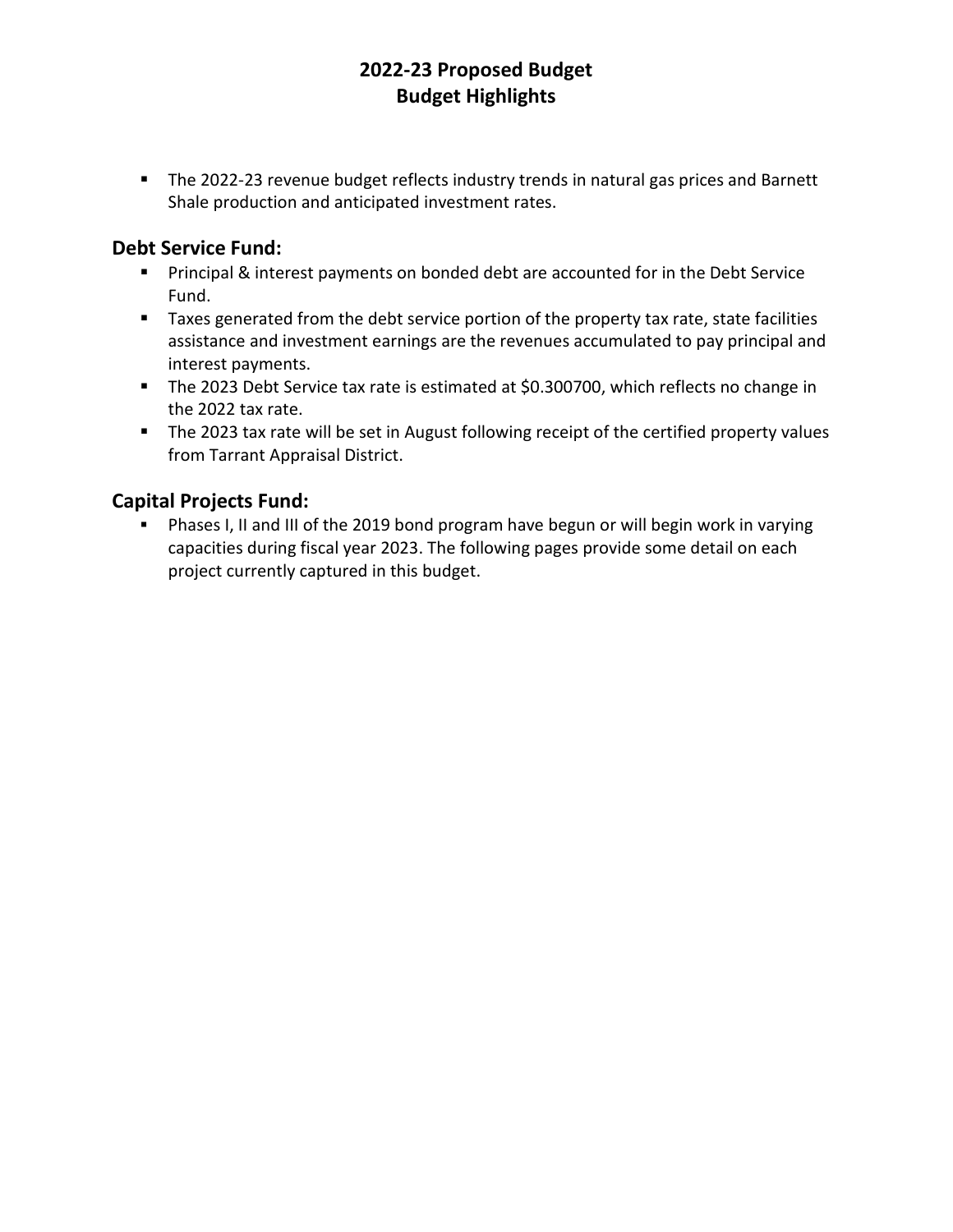• The 2022-23 revenue budget reflects industry trends in natural gas prices and Barnett Shale production and anticipated investment rates.

## **Debt Service Fund:**

- **Principal & interest payments on bonded debt are accounted for in the Debt Service** Fund.
- Taxes generated from the debt service portion of the property tax rate, state facilities assistance and investment earnings are the revenues accumulated to pay principal and interest payments.
- The 2023 Debt Service tax rate is estimated at \$0.300700, which reflects no change in the 2022 tax rate.
- The 2023 tax rate will be set in August following receipt of the certified property values from Tarrant Appraisal District.

## **Capital Projects Fund:**

 Phases I, II and III of the 2019 bond program have begun or will begin work in varying capacities during fiscal year 2023. The following pages provide some detail on each project currently captured in this budget.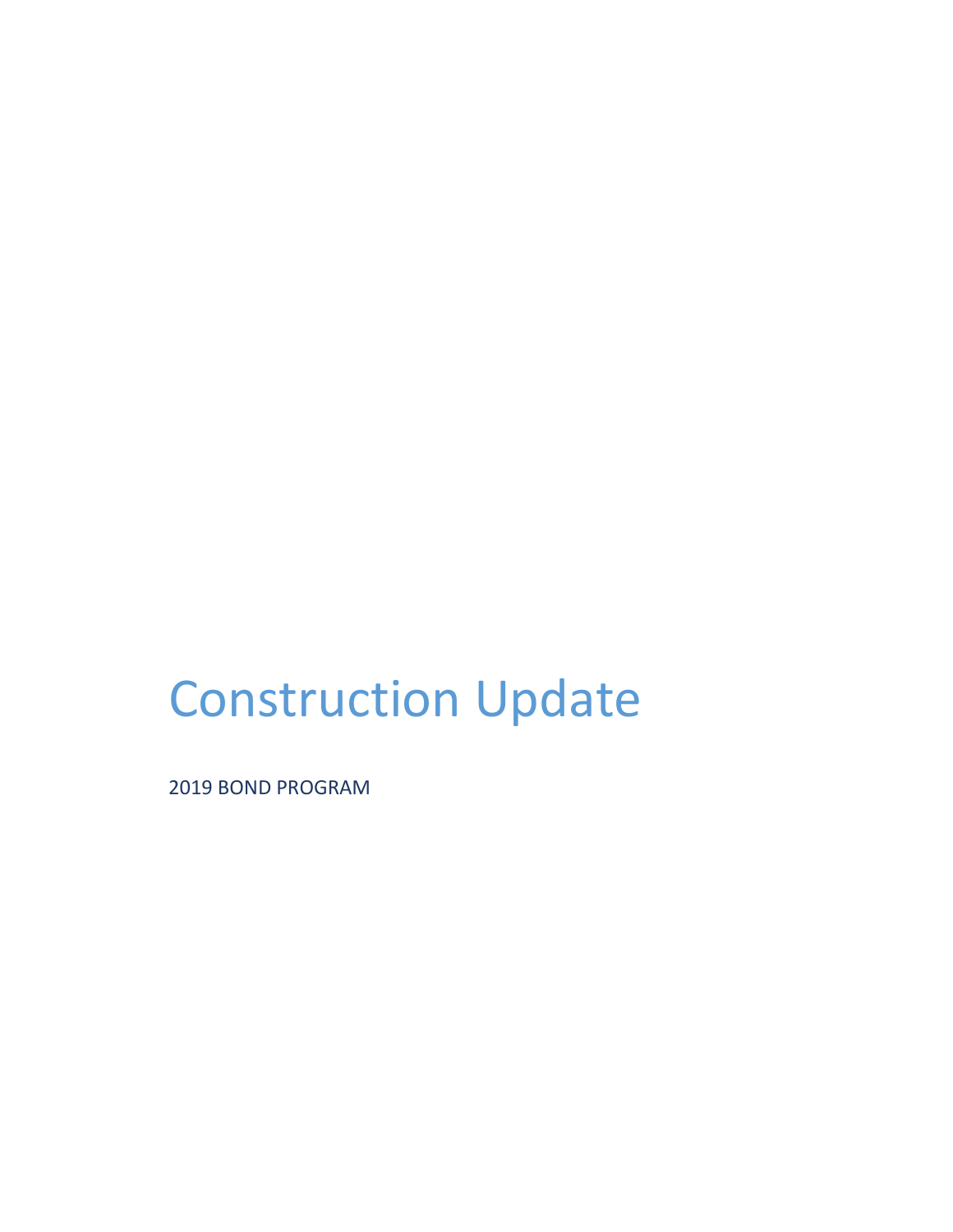# Construction Update

2019 BOND PROGRAM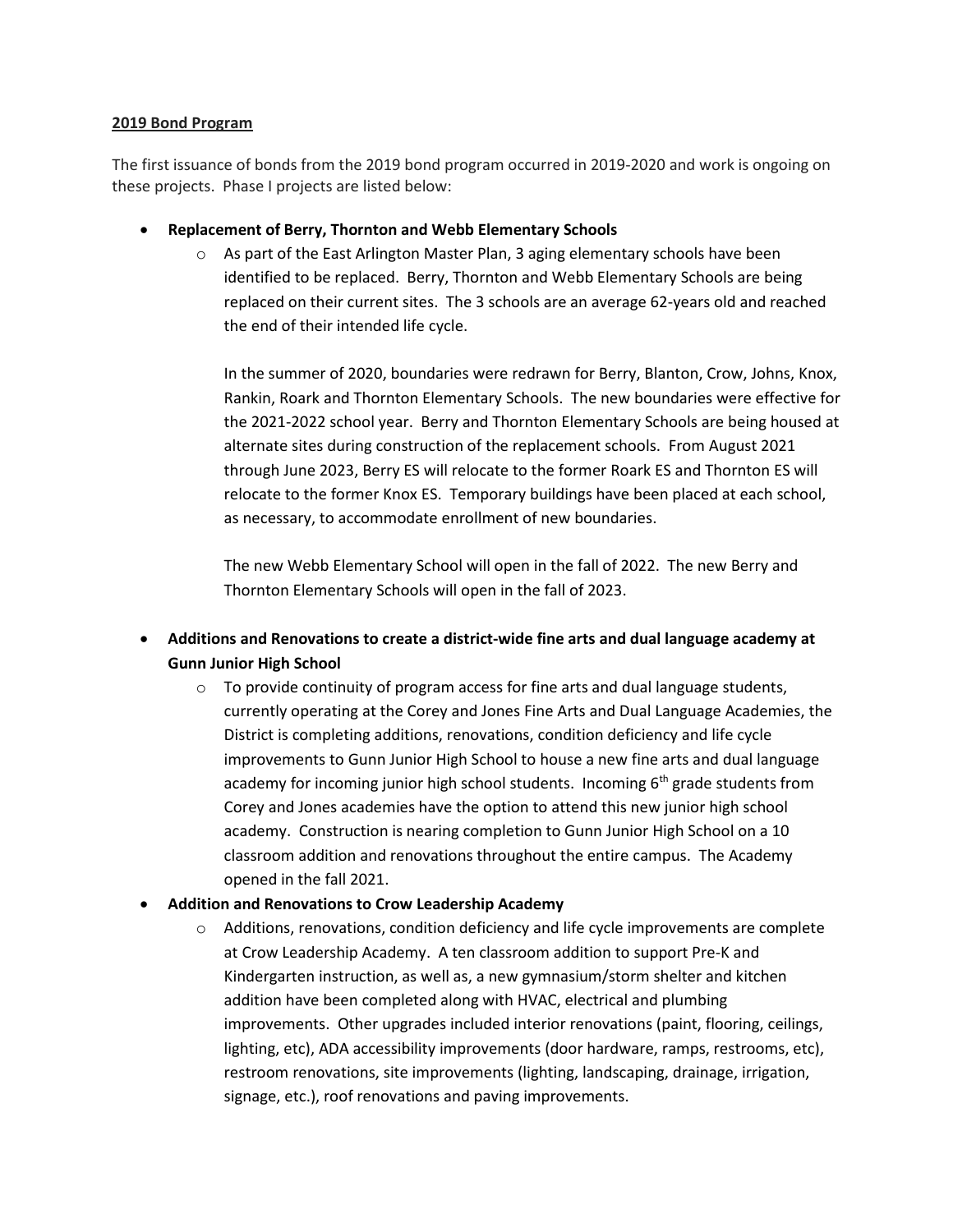#### **2019 Bond Program**

The first issuance of bonds from the 2019 bond program occurred in 2019-2020 and work is ongoing on these projects. Phase I projects are listed below:

- **Replacement of Berry, Thornton and Webb Elementary Schools**
	- $\circ$  As part of the East Arlington Master Plan, 3 aging elementary schools have been identified to be replaced. Berry, Thornton and Webb Elementary Schools are being replaced on their current sites. The 3 schools are an average 62-years old and reached the end of their intended life cycle.

In the summer of 2020, boundaries were redrawn for Berry, Blanton, Crow, Johns, Knox, Rankin, Roark and Thornton Elementary Schools. The new boundaries were effective for the 2021-2022 school year. Berry and Thornton Elementary Schools are being housed at alternate sites during construction of the replacement schools. From August 2021 through June 2023, Berry ES will relocate to the former Roark ES and Thornton ES will relocate to the former Knox ES. Temporary buildings have been placed at each school, as necessary, to accommodate enrollment of new boundaries.

The new Webb Elementary School will open in the fall of 2022. The new Berry and Thornton Elementary Schools will open in the fall of 2023.

- **Additions and Renovations to create a district-wide fine arts and dual language academy at Gunn Junior High School**
	- $\circ$  To provide continuity of program access for fine arts and dual language students, currently operating at the Corey and Jones Fine Arts and Dual Language Academies, the District is completing additions, renovations, condition deficiency and life cycle improvements to Gunn Junior High School to house a new fine arts and dual language academy for incoming junior high school students. Incoming  $6<sup>th</sup>$  grade students from Corey and Jones academies have the option to attend this new junior high school academy. Construction is nearing completion to Gunn Junior High School on a 10 classroom addition and renovations throughout the entire campus. The Academy opened in the fall 2021.
- **Addition and Renovations to Crow Leadership Academy**
	- $\circ$  Additions, renovations, condition deficiency and life cycle improvements are complete at Crow Leadership Academy. A ten classroom addition to support Pre-K and Kindergarten instruction, as well as, a new gymnasium/storm shelter and kitchen addition have been completed along with HVAC, electrical and plumbing improvements. Other upgrades included interior renovations (paint, flooring, ceilings, lighting, etc), ADA accessibility improvements (door hardware, ramps, restrooms, etc), restroom renovations, site improvements (lighting, landscaping, drainage, irrigation, signage, etc.), roof renovations and paving improvements.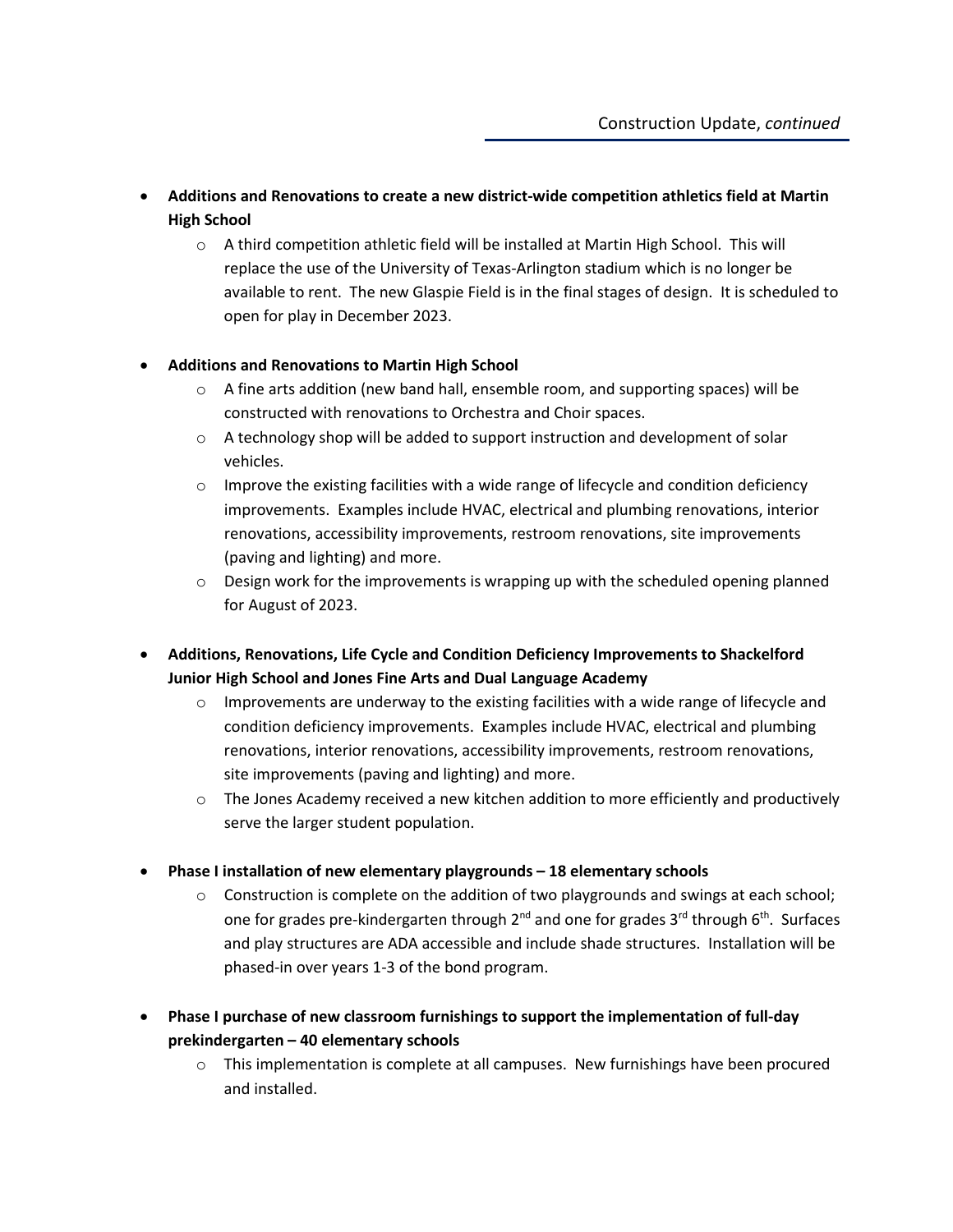- **Additions and Renovations to create a new district-wide competition athletics field at Martin High School**
	- o A third competition athletic field will be installed at Martin High School. This will replace the use of the University of Texas-Arlington stadium which is no longer be available to rent. The new Glaspie Field is in the final stages of design. It is scheduled to open for play in December 2023.

#### • **Additions and Renovations to Martin High School**

- $\circ$  A fine arts addition (new band hall, ensemble room, and supporting spaces) will be constructed with renovations to Orchestra and Choir spaces.
- $\circ$  A technology shop will be added to support instruction and development of solar vehicles.
- $\circ$  Improve the existing facilities with a wide range of lifecycle and condition deficiency improvements. Examples include HVAC, electrical and plumbing renovations, interior renovations, accessibility improvements, restroom renovations, site improvements (paving and lighting) and more.
- $\circ$  Design work for the improvements is wrapping up with the scheduled opening planned for August of 2023.
- **Additions, Renovations, Life Cycle and Condition Deficiency Improvements to Shackelford Junior High School and Jones Fine Arts and Dual Language Academy**
	- $\circ$  Improvements are underway to the existing facilities with a wide range of lifecycle and condition deficiency improvements. Examples include HVAC, electrical and plumbing renovations, interior renovations, accessibility improvements, restroom renovations, site improvements (paving and lighting) and more.
	- $\circ$  The Jones Academy received a new kitchen addition to more efficiently and productively serve the larger student population.
- **Phase I installation of new elementary playgrounds – 18 elementary schools**
	- $\circ$  Construction is complete on the addition of two playgrounds and swings at each school; one for grades pre-kindergarten through  $2^{nd}$  and one for grades  $3^{rd}$  through  $6^{th}$ . Surfaces and play structures are ADA accessible and include shade structures. Installation will be phased-in over years 1-3 of the bond program.
- **Phase I purchase of new classroom furnishings to support the implementation of full-day prekindergarten – 40 elementary schools**
	- o This implementation is complete at all campuses. New furnishings have been procured and installed.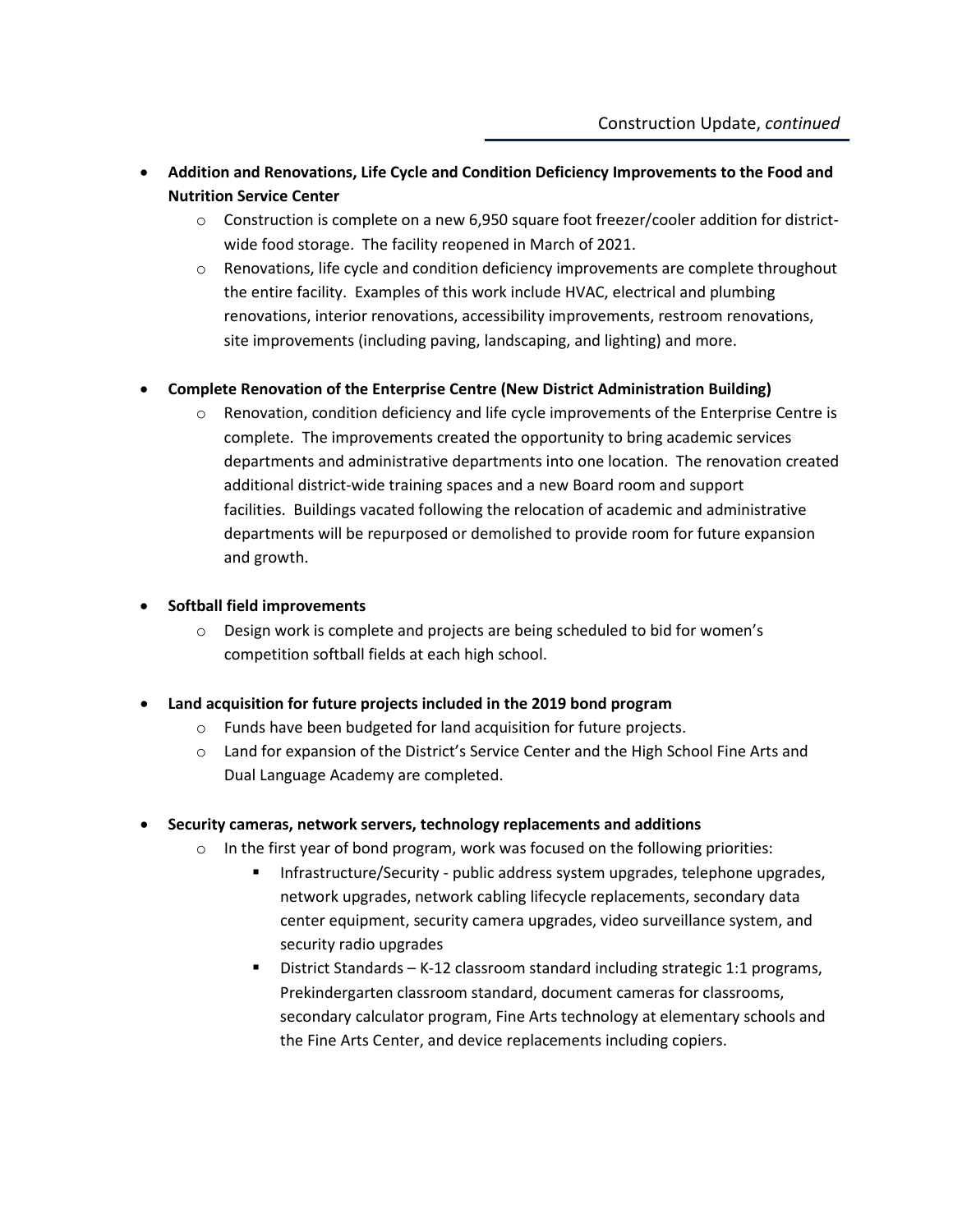- **Addition and Renovations, Life Cycle and Condition Deficiency Improvements to the Food and Nutrition Service Center**
	- $\circ$  Construction is complete on a new 6,950 square foot freezer/cooler addition for districtwide food storage. The facility reopened in March of 2021.
	- $\circ$  Renovations, life cycle and condition deficiency improvements are complete throughout the entire facility. Examples of this work include HVAC, electrical and plumbing renovations, interior renovations, accessibility improvements, restroom renovations, site improvements (including paving, landscaping, and lighting) and more.

#### • **Complete Renovation of the Enterprise Centre (New District Administration Building)**

 $\circ$  Renovation, condition deficiency and life cycle improvements of the Enterprise Centre is complete. The improvements created the opportunity to bring academic services departments and administrative departments into one location. The renovation created additional district-wide training spaces and a new Board room and support facilities. Buildings vacated following the relocation of academic and administrative departments will be repurposed or demolished to provide room for future expansion and growth.

#### • **Softball field improvements**

o Design work is complete and projects are being scheduled to bid for women's competition softball fields at each high school.

#### • **Land acquisition for future projects included in the 2019 bond program**

- o Funds have been budgeted for land acquisition for future projects.
- o Land for expansion of the District's Service Center and the High School Fine Arts and Dual Language Academy are completed.
- **Security cameras, network servers, technology replacements and additions**
	- $\circ$  In the first year of bond program, work was focused on the following priorities:
		- Infrastructure/Security public address system upgrades, telephone upgrades, network upgrades, network cabling lifecycle replacements, secondary data center equipment, security camera upgrades, video surveillance system, and security radio upgrades
		- District Standards K-12 classroom standard including strategic 1:1 programs, Prekindergarten classroom standard, document cameras for classrooms, secondary calculator program, Fine Arts technology at elementary schools and the Fine Arts Center, and device replacements including copiers.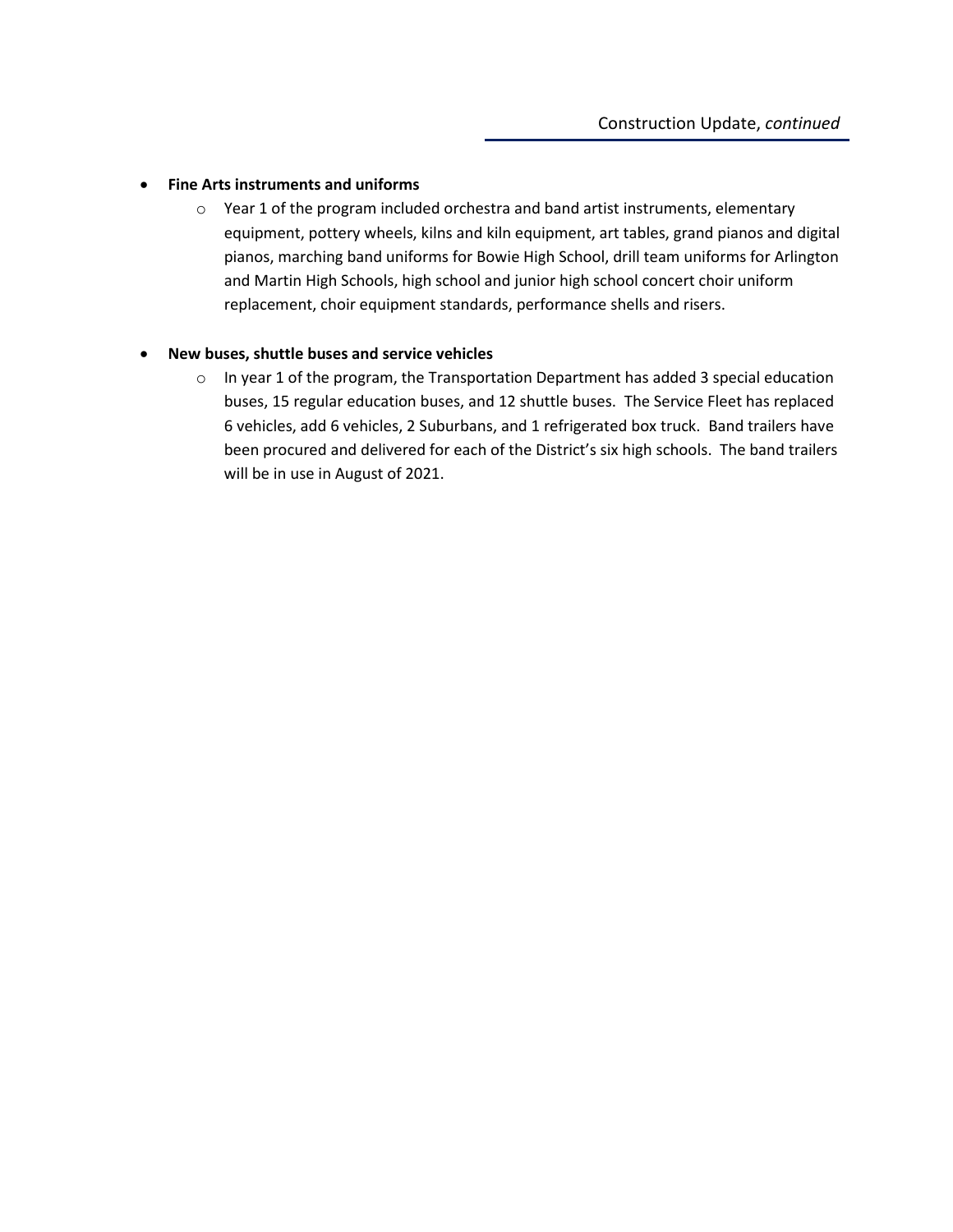#### • **Fine Arts instruments and uniforms**

 $\circ$  Year 1 of the program included orchestra and band artist instruments, elementary equipment, pottery wheels, kilns and kiln equipment, art tables, grand pianos and digital pianos, marching band uniforms for Bowie High School, drill team uniforms for Arlington and Martin High Schools, high school and junior high school concert choir uniform replacement, choir equipment standards, performance shells and risers.

#### • **New buses, shuttle buses and service vehicles**

 $\circ$  In year 1 of the program, the Transportation Department has added 3 special education buses, 15 regular education buses, and 12 shuttle buses. The Service Fleet has replaced 6 vehicles, add 6 vehicles, 2 Suburbans, and 1 refrigerated box truck. Band trailers have been procured and delivered for each of the District's six high schools. The band trailers will be in use in August of 2021.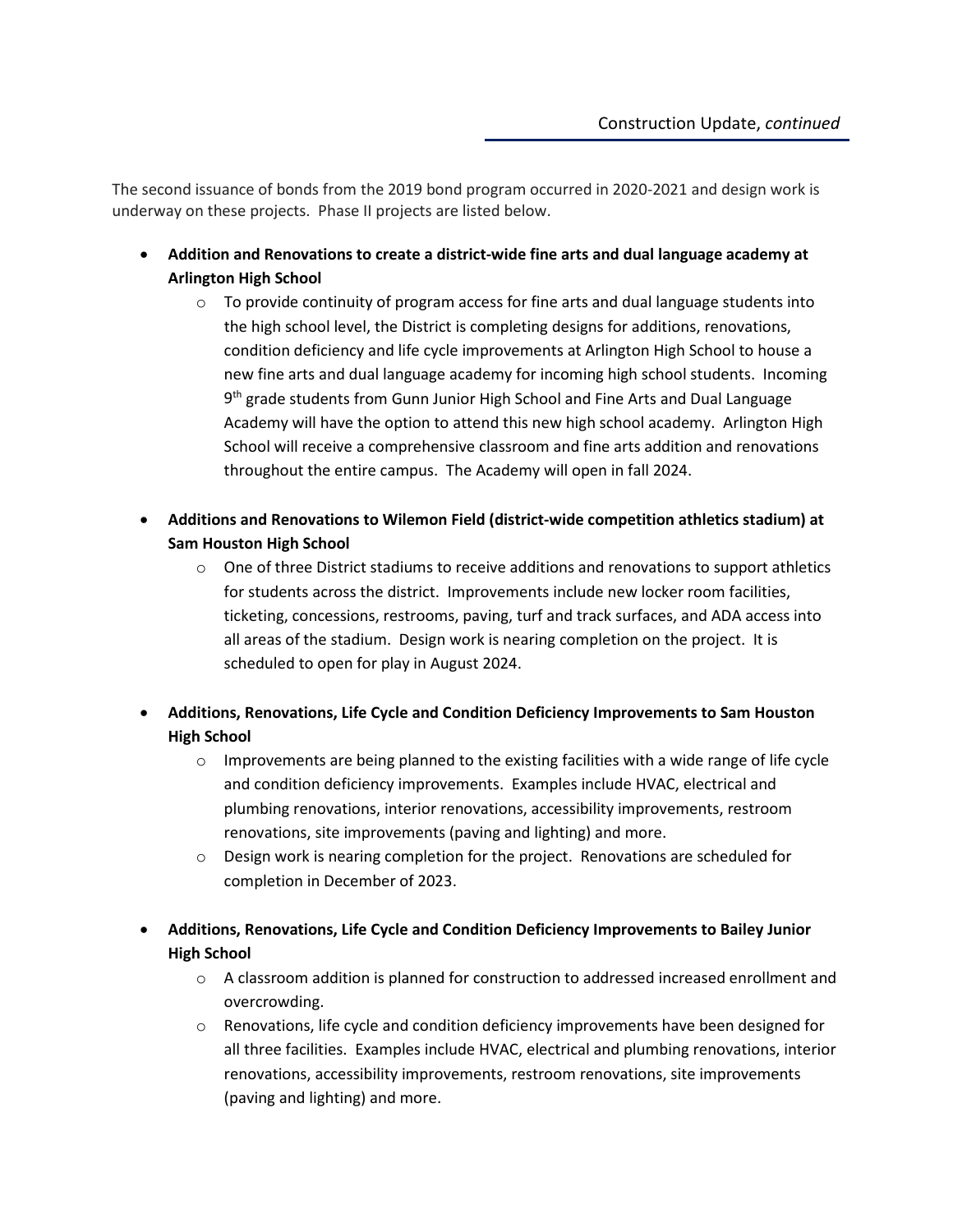The second issuance of bonds from the 2019 bond program occurred in 2020-2021 and design work is underway on these projects. Phase II projects are listed below.

- **Addition and Renovations to create a district-wide fine arts and dual language academy at Arlington High School**
	- $\circ$  To provide continuity of program access for fine arts and dual language students into the high school level, the District is completing designs for additions, renovations, condition deficiency and life cycle improvements at Arlington High School to house a new fine arts and dual language academy for incoming high school students. Incoming 9<sup>th</sup> grade students from Gunn Junior High School and Fine Arts and Dual Language Academy will have the option to attend this new high school academy. Arlington High School will receive a comprehensive classroom and fine arts addition and renovations throughout the entire campus. The Academy will open in fall 2024.
- **Additions and Renovations to Wilemon Field (district-wide competition athletics stadium) at Sam Houston High School**
	- $\circ$  One of three District stadiums to receive additions and renovations to support athletics for students across the district. Improvements include new locker room facilities, ticketing, concessions, restrooms, paving, turf and track surfaces, and ADA access into all areas of the stadium. Design work is nearing completion on the project. It is scheduled to open for play in August 2024.
- **Additions, Renovations, Life Cycle and Condition Deficiency Improvements to Sam Houston High School**
	- $\circ$  Improvements are being planned to the existing facilities with a wide range of life cycle and condition deficiency improvements. Examples include HVAC, electrical and plumbing renovations, interior renovations, accessibility improvements, restroom renovations, site improvements (paving and lighting) and more.
	- $\circ$  Design work is nearing completion for the project. Renovations are scheduled for completion in December of 2023.
- **Additions, Renovations, Life Cycle and Condition Deficiency Improvements to Bailey Junior High School**
	- o A classroom addition is planned for construction to addressed increased enrollment and overcrowding.
	- $\circ$  Renovations, life cycle and condition deficiency improvements have been designed for all three facilities. Examples include HVAC, electrical and plumbing renovations, interior renovations, accessibility improvements, restroom renovations, site improvements (paving and lighting) and more.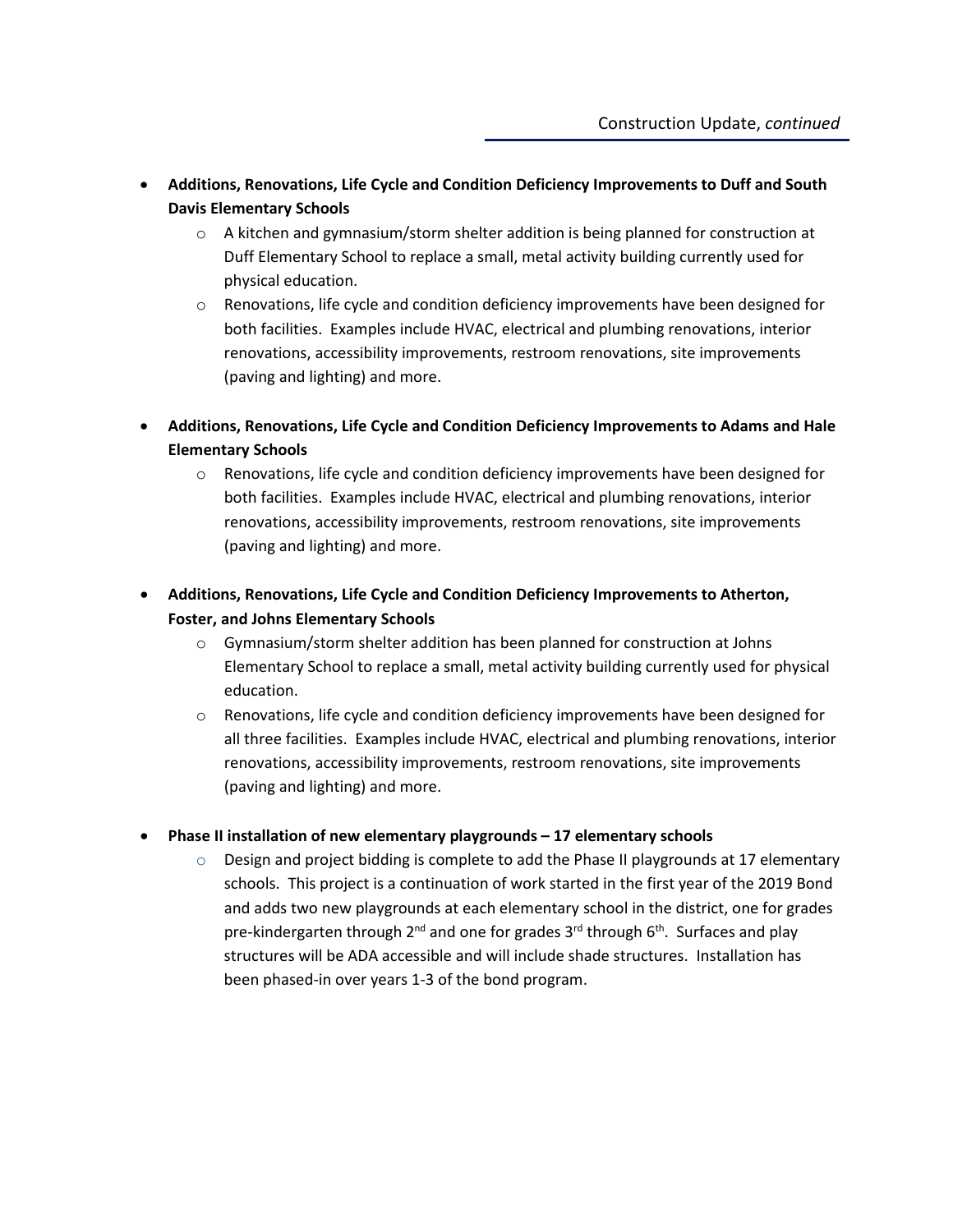- **Additions, Renovations, Life Cycle and Condition Deficiency Improvements to Duff and South Davis Elementary Schools**
	- $\circ$  A kitchen and gymnasium/storm shelter addition is being planned for construction at Duff Elementary School to replace a small, metal activity building currently used for physical education.
	- $\circ$  Renovations, life cycle and condition deficiency improvements have been designed for both facilities. Examples include HVAC, electrical and plumbing renovations, interior renovations, accessibility improvements, restroom renovations, site improvements (paving and lighting) and more.
- **Additions, Renovations, Life Cycle and Condition Deficiency Improvements to Adams and Hale Elementary Schools**
	- $\circ$  Renovations, life cycle and condition deficiency improvements have been designed for both facilities. Examples include HVAC, electrical and plumbing renovations, interior renovations, accessibility improvements, restroom renovations, site improvements (paving and lighting) and more.
- **Additions, Renovations, Life Cycle and Condition Deficiency Improvements to Atherton, Foster, and Johns Elementary Schools**
	- o Gymnasium/storm shelter addition has been planned for construction at Johns Elementary School to replace a small, metal activity building currently used for physical education.
	- o Renovations, life cycle and condition deficiency improvements have been designed for all three facilities. Examples include HVAC, electrical and plumbing renovations, interior renovations, accessibility improvements, restroom renovations, site improvements (paving and lighting) and more.
- **Phase II installation of new elementary playgrounds – 17 elementary schools**
	- $\circ$  Design and project bidding is complete to add the Phase II playgrounds at 17 elementary schools. This project is a continuation of work started in the first year of the 2019 Bond and adds two new playgrounds at each elementary school in the district, one for grades pre-kindergarten through  $2^{nd}$  and one for grades  $3^{rd}$  through  $6^{th}$ . Surfaces and play structures will be ADA accessible and will include shade structures. Installation has been phased-in over years 1-3 of the bond program.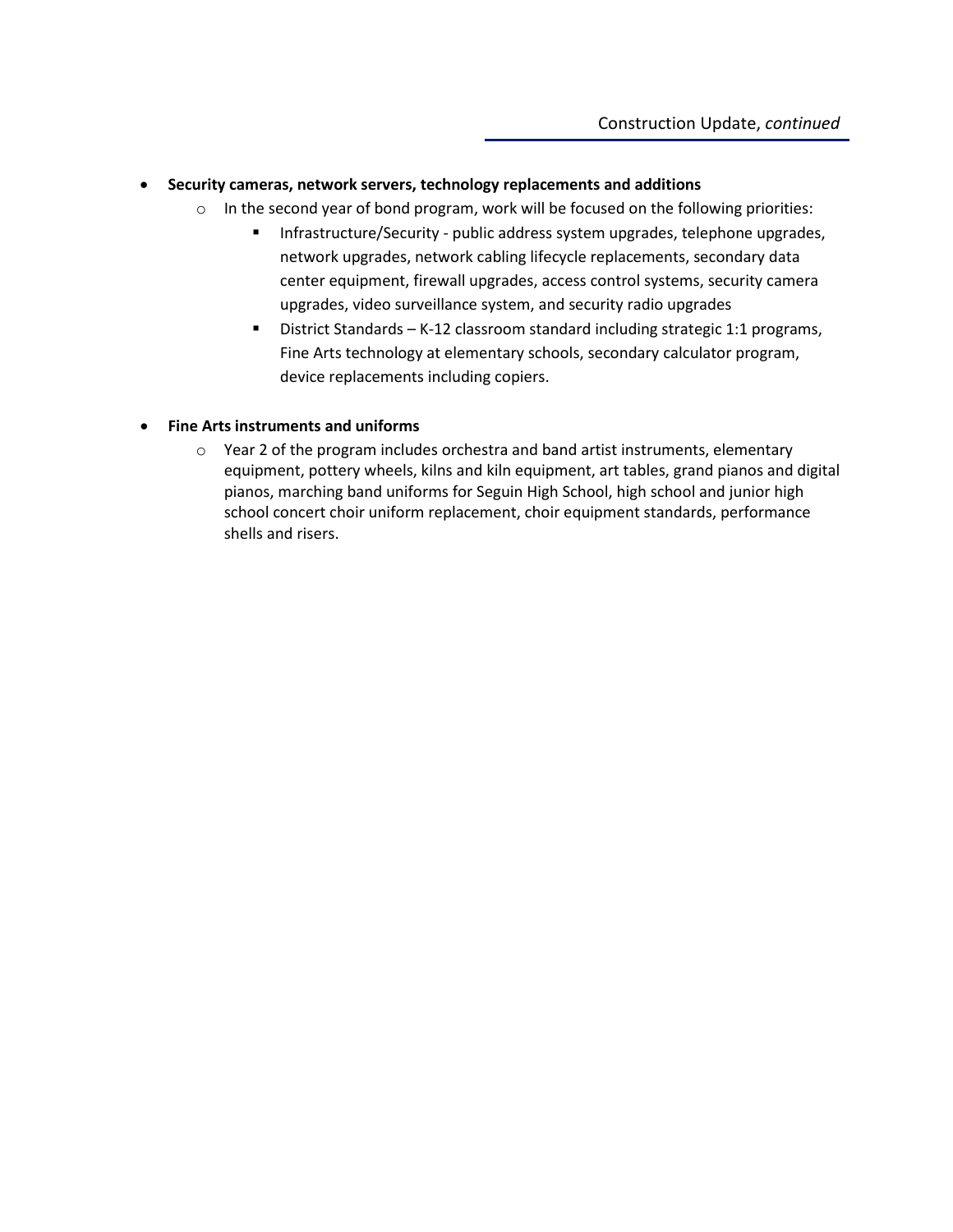#### • **Security cameras, network servers, technology replacements and additions**

- $\circ$  In the second year of bond program, work will be focused on the following priorities:
	- **Infrastructure/Security public address system upgrades, telephone upgrades,** network upgrades, network cabling lifecycle replacements, secondary data center equipment, firewall upgrades, access control systems, security camera upgrades, video surveillance system, and security radio upgrades
	- District Standards K-12 classroom standard including strategic 1:1 programs, Fine Arts technology at elementary schools, secondary calculator program, device replacements including copiers.

#### • **Fine Arts instruments and uniforms**

 $\circ$  Year 2 of the program includes orchestra and band artist instruments, elementary equipment, pottery wheels, kilns and kiln equipment, art tables, grand pianos and digital pianos, marching band uniforms for Seguin High School, high school and junior high school concert choir uniform replacement, choir equipment standards, performance shells and risers.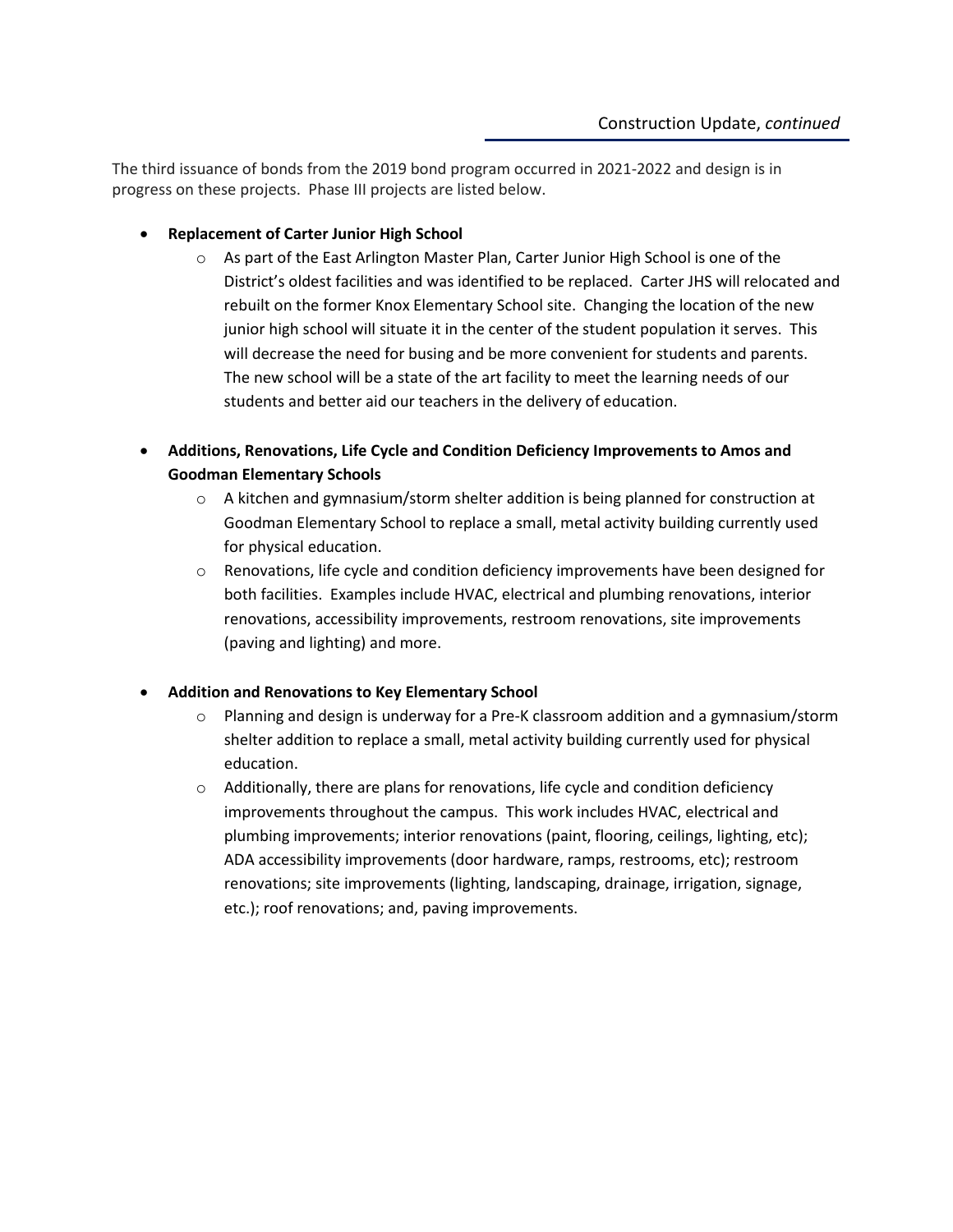The third issuance of bonds from the 2019 bond program occurred in 2021-2022 and design is in progress on these projects. Phase III projects are listed below.

- **Replacement of Carter Junior High School**
	- o As part of the East Arlington Master Plan, Carter Junior High School is one of the District's oldest facilities and was identified to be replaced. Carter JHS will relocated and rebuilt on the former Knox Elementary School site. Changing the location of the new junior high school will situate it in the center of the student population it serves. This will decrease the need for busing and be more convenient for students and parents. The new school will be a state of the art facility to meet the learning needs of our students and better aid our teachers in the delivery of education.
- **Additions, Renovations, Life Cycle and Condition Deficiency Improvements to Amos and Goodman Elementary Schools**
	- $\circ$  A kitchen and gymnasium/storm shelter addition is being planned for construction at Goodman Elementary School to replace a small, metal activity building currently used for physical education.
	- $\circ$  Renovations, life cycle and condition deficiency improvements have been designed for both facilities. Examples include HVAC, electrical and plumbing renovations, interior renovations, accessibility improvements, restroom renovations, site improvements (paving and lighting) and more.

#### • **Addition and Renovations to Key Elementary School**

- $\circ$  Planning and design is underway for a Pre-K classroom addition and a gymnasium/storm shelter addition to replace a small, metal activity building currently used for physical education.
- o Additionally, there are plans for renovations, life cycle and condition deficiency improvements throughout the campus. This work includes HVAC, electrical and plumbing improvements; interior renovations (paint, flooring, ceilings, lighting, etc); ADA accessibility improvements (door hardware, ramps, restrooms, etc); restroom renovations; site improvements (lighting, landscaping, drainage, irrigation, signage, etc.); roof renovations; and, paving improvements.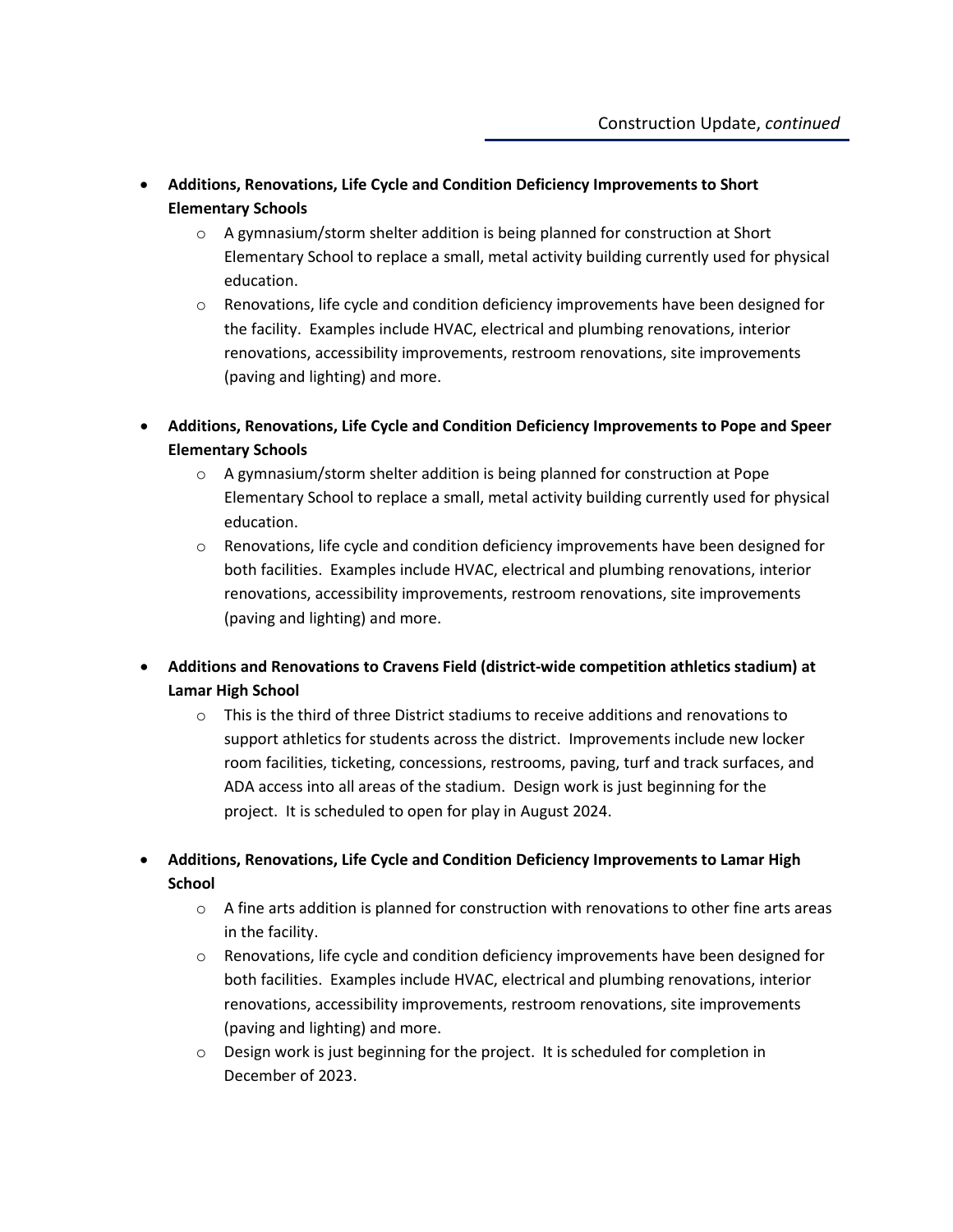- **Additions, Renovations, Life Cycle and Condition Deficiency Improvements to Short Elementary Schools**
	- $\circ$  A gymnasium/storm shelter addition is being planned for construction at Short Elementary School to replace a small, metal activity building currently used for physical education.
	- $\circ$  Renovations, life cycle and condition deficiency improvements have been designed for the facility. Examples include HVAC, electrical and plumbing renovations, interior renovations, accessibility improvements, restroom renovations, site improvements (paving and lighting) and more.
- **Additions, Renovations, Life Cycle and Condition Deficiency Improvements to Pope and Speer Elementary Schools**
	- o A gymnasium/storm shelter addition is being planned for construction at Pope Elementary School to replace a small, metal activity building currently used for physical education.
	- o Renovations, life cycle and condition deficiency improvements have been designed for both facilities. Examples include HVAC, electrical and plumbing renovations, interior renovations, accessibility improvements, restroom renovations, site improvements (paving and lighting) and more.
- **Additions and Renovations to Cravens Field (district-wide competition athletics stadium) at Lamar High School**
	- $\circ$  This is the third of three District stadiums to receive additions and renovations to support athletics for students across the district. Improvements include new locker room facilities, ticketing, concessions, restrooms, paving, turf and track surfaces, and ADA access into all areas of the stadium. Design work is just beginning for the project. It is scheduled to open for play in August 2024.
- **Additions, Renovations, Life Cycle and Condition Deficiency Improvements to Lamar High School**
	- $\circ$  A fine arts addition is planned for construction with renovations to other fine arts areas in the facility.
	- $\circ$  Renovations, life cycle and condition deficiency improvements have been designed for both facilities. Examples include HVAC, electrical and plumbing renovations, interior renovations, accessibility improvements, restroom renovations, site improvements (paving and lighting) and more.
	- o Design work is just beginning for the project. It is scheduled for completion in December of 2023.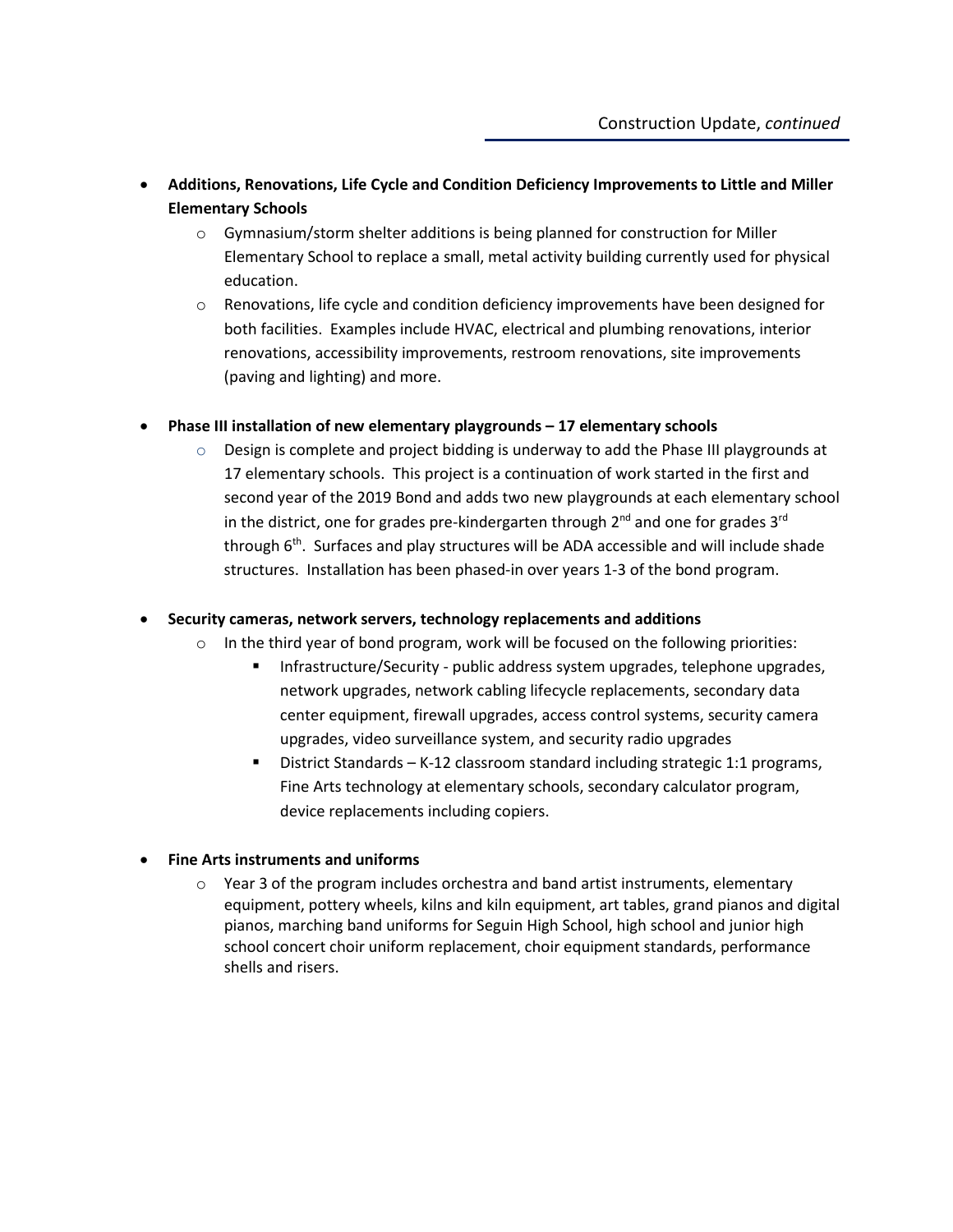- **Additions, Renovations, Life Cycle and Condition Deficiency Improvements to Little and Miller Elementary Schools**
	- $\circ$  Gymnasium/storm shelter additions is being planned for construction for Miller Elementary School to replace a small, metal activity building currently used for physical education.
	- $\circ$  Renovations, life cycle and condition deficiency improvements have been designed for both facilities. Examples include HVAC, electrical and plumbing renovations, interior renovations, accessibility improvements, restroom renovations, site improvements (paving and lighting) and more.

#### • **Phase III installation of new elementary playgrounds – 17 elementary schools**

 $\circ$  Design is complete and project bidding is underway to add the Phase III playgrounds at 17 elementary schools. This project is a continuation of work started in the first and second year of the 2019 Bond and adds two new playgrounds at each elementary school in the district, one for grades pre-kindergarten through  $2^{nd}$  and one for grades  $3^{rd}$ through  $6<sup>th</sup>$ . Surfaces and play structures will be ADA accessible and will include shade structures. Installation has been phased-in over years 1-3 of the bond program.

#### • **Security cameras, network servers, technology replacements and additions**

- $\circ$  In the third year of bond program, work will be focused on the following priorities:
	- **Infrastructure/Security public address system upgrades, telephone upgrades,** network upgrades, network cabling lifecycle replacements, secondary data center equipment, firewall upgrades, access control systems, security camera upgrades, video surveillance system, and security radio upgrades
	- District Standards K-12 classroom standard including strategic 1:1 programs, Fine Arts technology at elementary schools, secondary calculator program, device replacements including copiers.

#### • **Fine Arts instruments and uniforms**

 $\circ$  Year 3 of the program includes orchestra and band artist instruments, elementary equipment, pottery wheels, kilns and kiln equipment, art tables, grand pianos and digital pianos, marching band uniforms for Seguin High School, high school and junior high school concert choir uniform replacement, choir equipment standards, performance shells and risers.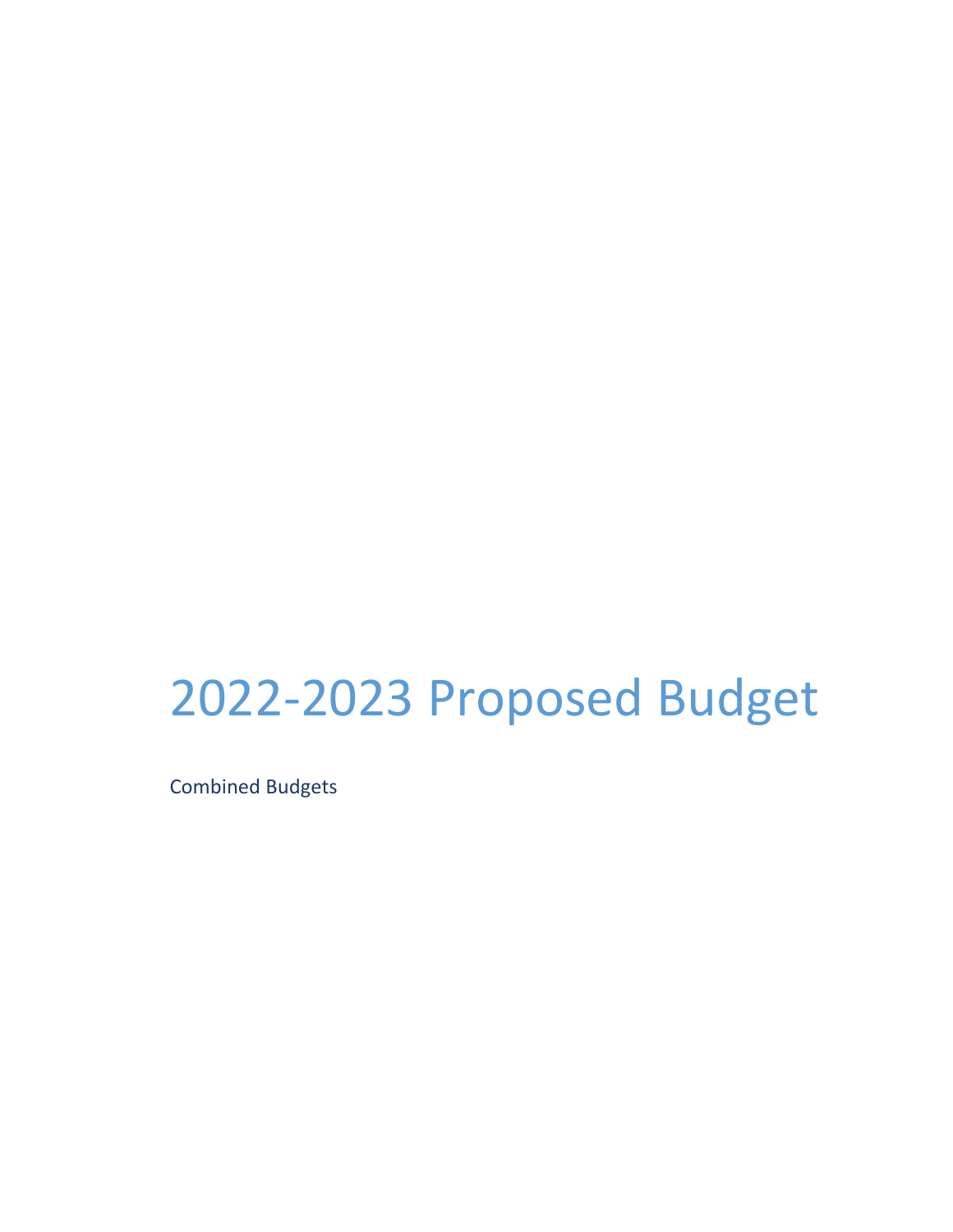# 2022-2023 Proposed Budget

Combined Budgets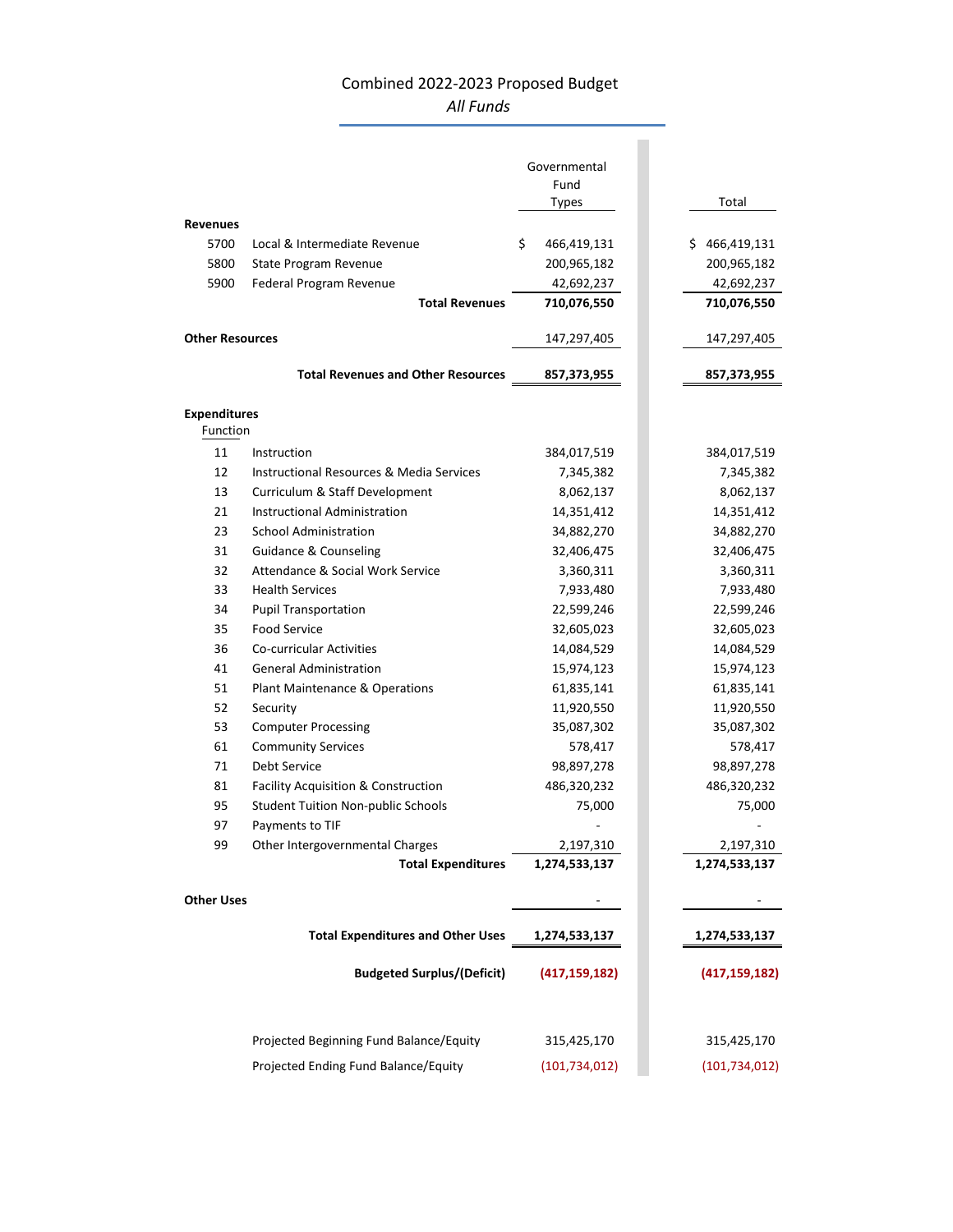### Combined 2022‐2023 Proposed Budget *All Funds*

| Governmental<br>Fund<br>Total<br>Types<br><b>Revenues</b><br>\$<br>5700<br>Local & Intermediate Revenue<br>466,419,131<br>\$466,419,131<br>200,965,182<br>5800<br>State Program Revenue<br>200,965,182<br>5900<br>Federal Program Revenue<br>42,692,237<br>42,692,237<br><b>Total Revenues</b><br>710,076,550<br>710,076,550<br><b>Other Resources</b><br>147,297,405<br>147,297,405 |        |
|--------------------------------------------------------------------------------------------------------------------------------------------------------------------------------------------------------------------------------------------------------------------------------------------------------------------------------------------------------------------------------------|--------|
|                                                                                                                                                                                                                                                                                                                                                                                      |        |
|                                                                                                                                                                                                                                                                                                                                                                                      |        |
|                                                                                                                                                                                                                                                                                                                                                                                      |        |
|                                                                                                                                                                                                                                                                                                                                                                                      |        |
|                                                                                                                                                                                                                                                                                                                                                                                      |        |
|                                                                                                                                                                                                                                                                                                                                                                                      |        |
|                                                                                                                                                                                                                                                                                                                                                                                      |        |
|                                                                                                                                                                                                                                                                                                                                                                                      |        |
|                                                                                                                                                                                                                                                                                                                                                                                      |        |
| <b>Total Revenues and Other Resources</b><br>857,373,955<br>857,373,955                                                                                                                                                                                                                                                                                                              |        |
| <b>Expenditures</b>                                                                                                                                                                                                                                                                                                                                                                  |        |
| Function                                                                                                                                                                                                                                                                                                                                                                             |        |
| 11<br>Instruction<br>384,017,519<br>384,017,519                                                                                                                                                                                                                                                                                                                                      |        |
| 12<br><b>Instructional Resources &amp; Media Services</b><br>7,345,382<br>7,345,382                                                                                                                                                                                                                                                                                                  |        |
| 13<br>Curriculum & Staff Development<br>8,062,137<br>8,062,137                                                                                                                                                                                                                                                                                                                       |        |
| Instructional Administration<br>21<br>14,351,412<br>14,351,412                                                                                                                                                                                                                                                                                                                       |        |
| 23<br><b>School Administration</b><br>34,882,270<br>34,882,270                                                                                                                                                                                                                                                                                                                       |        |
| 31<br><b>Guidance &amp; Counseling</b><br>32,406,475<br>32,406,475                                                                                                                                                                                                                                                                                                                   |        |
| 32<br>Attendance & Social Work Service<br>3,360,311<br>3,360,311                                                                                                                                                                                                                                                                                                                     |        |
| <b>Health Services</b><br>33<br>7,933,480<br>7,933,480                                                                                                                                                                                                                                                                                                                               |        |
| 34<br>22,599,246<br>22,599,246<br><b>Pupil Transportation</b>                                                                                                                                                                                                                                                                                                                        |        |
| 35<br><b>Food Service</b><br>32,605,023<br>32,605,023                                                                                                                                                                                                                                                                                                                                |        |
| 36<br>Co-curricular Activities<br>14,084,529<br>14,084,529                                                                                                                                                                                                                                                                                                                           |        |
| <b>General Administration</b><br>15,974,123<br>41<br>15,974,123                                                                                                                                                                                                                                                                                                                      |        |
| 51<br>Plant Maintenance & Operations<br>61,835,141<br>61,835,141                                                                                                                                                                                                                                                                                                                     |        |
| 52<br>11,920,550<br>11,920,550<br>Security                                                                                                                                                                                                                                                                                                                                           |        |
| 53<br><b>Computer Processing</b><br>35,087,302<br>35,087,302                                                                                                                                                                                                                                                                                                                         |        |
| 61<br><b>Community Services</b><br>578,417<br>578,417                                                                                                                                                                                                                                                                                                                                |        |
| 71<br><b>Debt Service</b><br>98,897,278<br>98,897,278                                                                                                                                                                                                                                                                                                                                |        |
| 486,320,232<br>81<br><b>Facility Acquisition &amp; Construction</b><br>486,320,232                                                                                                                                                                                                                                                                                                   |        |
| 95<br><b>Student Tuition Non-public Schools</b><br>75,000                                                                                                                                                                                                                                                                                                                            | 75,000 |
| 97<br>Payments to TIF                                                                                                                                                                                                                                                                                                                                                                |        |
| 99<br>Other Intergovernmental Charges<br>2,197,310<br>2,197,310                                                                                                                                                                                                                                                                                                                      |        |
| <b>Total Expenditures</b><br>1,274,533,137<br>1,274,533,137                                                                                                                                                                                                                                                                                                                          |        |
| <b>Other Uses</b>                                                                                                                                                                                                                                                                                                                                                                    |        |
| <b>Total Expenditures and Other Uses</b><br>1,274,533,137<br>1,274,533,137                                                                                                                                                                                                                                                                                                           |        |
| <b>Budgeted Surplus/(Deficit)</b><br>(417, 159, 182)<br>(417, 159, 182)                                                                                                                                                                                                                                                                                                              |        |
| Projected Beginning Fund Balance/Equity<br>315,425,170<br>315,425,170                                                                                                                                                                                                                                                                                                                |        |
| Projected Ending Fund Balance/Equity<br>(101, 734, 012)<br>(101, 734, 012)                                                                                                                                                                                                                                                                                                           |        |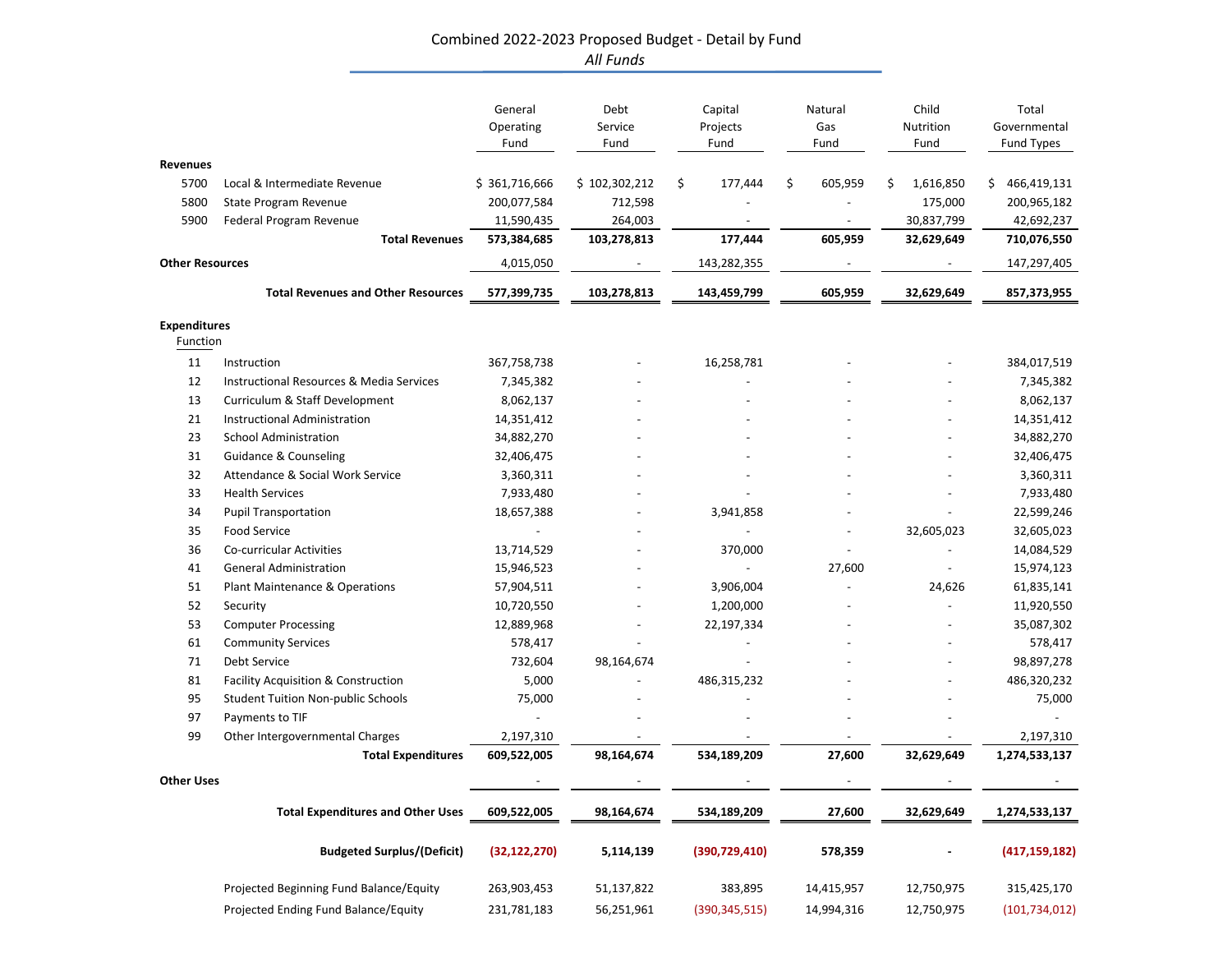#### Combined 2022‐2023 Proposed Budget ‐ Detail by Fund *All Funds*

|                        |                                                     | General<br>Operating<br>Fund | Debt<br>Service<br>Fund | Capital<br>Projects<br>Fund | Natural<br>Gas<br>Fund | Child<br>Nutrition<br>Fund | Total<br>Governmental<br>Fund Types |
|------------------------|-----------------------------------------------------|------------------------------|-------------------------|-----------------------------|------------------------|----------------------------|-------------------------------------|
| <b>Revenues</b>        |                                                     |                              |                         |                             |                        |                            |                                     |
| 5700                   | Local & Intermediate Revenue                        | \$361,716,666                | \$102,302,212           | \$<br>177,444               | \$<br>605,959          | 1,616,850<br>\$            | 466,419,131<br>\$                   |
| 5800                   | State Program Revenue                               | 200,077,584                  | 712,598                 |                             |                        | 175,000                    | 200,965,182                         |
| 5900                   | Federal Program Revenue                             | 11,590,435                   | 264,003                 |                             |                        | 30,837,799                 | 42,692,237                          |
|                        | <b>Total Revenues</b>                               | 573,384,685                  | 103,278,813             | 177,444                     | 605,959                | 32,629,649                 | 710,076,550                         |
| <b>Other Resources</b> |                                                     | 4,015,050                    |                         | 143,282,355                 |                        |                            | 147,297,405                         |
|                        | <b>Total Revenues and Other Resources</b>           | 577,399,735                  | 103,278,813             | 143,459,799                 | 605,959                | 32,629,649                 | 857,373,955                         |
| <b>Expenditures</b>    |                                                     |                              |                         |                             |                        |                            |                                     |
| Function               |                                                     |                              |                         |                             |                        |                            |                                     |
| 11                     | Instruction                                         | 367,758,738                  |                         | 16,258,781                  |                        |                            | 384,017,519                         |
| 12                     | <b>Instructional Resources &amp; Media Services</b> | 7,345,382                    |                         |                             |                        |                            | 7,345,382                           |
| 13                     | Curriculum & Staff Development                      | 8,062,137                    |                         |                             |                        |                            | 8,062,137                           |
| 21                     | Instructional Administration                        | 14,351,412                   |                         |                             |                        |                            | 14,351,412                          |
| 23                     | <b>School Administration</b>                        | 34,882,270                   |                         |                             |                        |                            | 34,882,270                          |
| 31                     | <b>Guidance &amp; Counseling</b>                    | 32,406,475                   |                         |                             |                        |                            | 32,406,475                          |
| 32                     | Attendance & Social Work Service                    | 3,360,311                    |                         |                             |                        |                            | 3,360,311                           |
| 33                     | <b>Health Services</b>                              | 7,933,480                    |                         |                             |                        |                            | 7,933,480                           |
| 34                     | <b>Pupil Transportation</b>                         | 18,657,388                   |                         | 3,941,858                   |                        |                            | 22,599,246                          |
| 35                     | <b>Food Service</b>                                 |                              |                         |                             |                        | 32,605,023                 | 32,605,023                          |
| 36                     | Co-curricular Activities                            | 13,714,529                   |                         | 370,000                     |                        |                            | 14,084,529                          |
| 41                     | <b>General Administration</b>                       | 15,946,523                   |                         |                             | 27,600                 |                            | 15,974,123                          |
| 51                     | Plant Maintenance & Operations                      | 57,904,511                   |                         | 3,906,004                   |                        | 24,626                     | 61,835,141                          |
| 52                     | Security                                            | 10,720,550                   |                         | 1,200,000                   |                        |                            | 11,920,550                          |
| 53                     | <b>Computer Processing</b>                          | 12,889,968                   |                         | 22,197,334                  |                        |                            | 35,087,302                          |
| 61                     | <b>Community Services</b>                           | 578,417                      |                         |                             |                        |                            | 578,417                             |
| 71                     | Debt Service                                        | 732,604                      | 98,164,674              |                             |                        |                            | 98,897,278                          |
| 81                     | Facility Acquisition & Construction                 | 5,000                        |                         | 486,315,232                 |                        |                            | 486,320,232                         |
| 95                     | <b>Student Tuition Non-public Schools</b>           | 75,000                       |                         |                             |                        |                            | 75,000                              |
| 97                     | Payments to TIF                                     |                              |                         |                             |                        |                            |                                     |
| 99                     | Other Intergovernmental Charges                     | 2,197,310                    |                         |                             |                        |                            | 2,197,310                           |
|                        | <b>Total Expenditures</b>                           | 609,522,005                  | 98,164,674              | 534,189,209                 | 27,600                 | 32,629,649                 | 1,274,533,137                       |
| <b>Other Uses</b>      |                                                     |                              |                         |                             |                        |                            |                                     |
|                        | <b>Total Expenditures and Other Uses</b>            | 609,522,005                  | 98,164,674              | 534,189,209                 | 27,600                 | 32,629,649                 | 1,274,533,137                       |
|                        | <b>Budgeted Surplus/(Deficit)</b>                   | (32, 122, 270)               | 5,114,139               | (390, 729, 410)             | 578,359                |                            | (417, 159, 182)                     |
|                        | Projected Beginning Fund Balance/Equity             | 263,903,453                  | 51,137,822              | 383,895                     | 14,415,957             | 12,750,975                 | 315,425,170                         |
|                        | Projected Ending Fund Balance/Equity                | 231,781,183                  | 56,251,961              | (390, 345, 515)             | 14,994,316             | 12,750,975                 | (101, 734, 012)                     |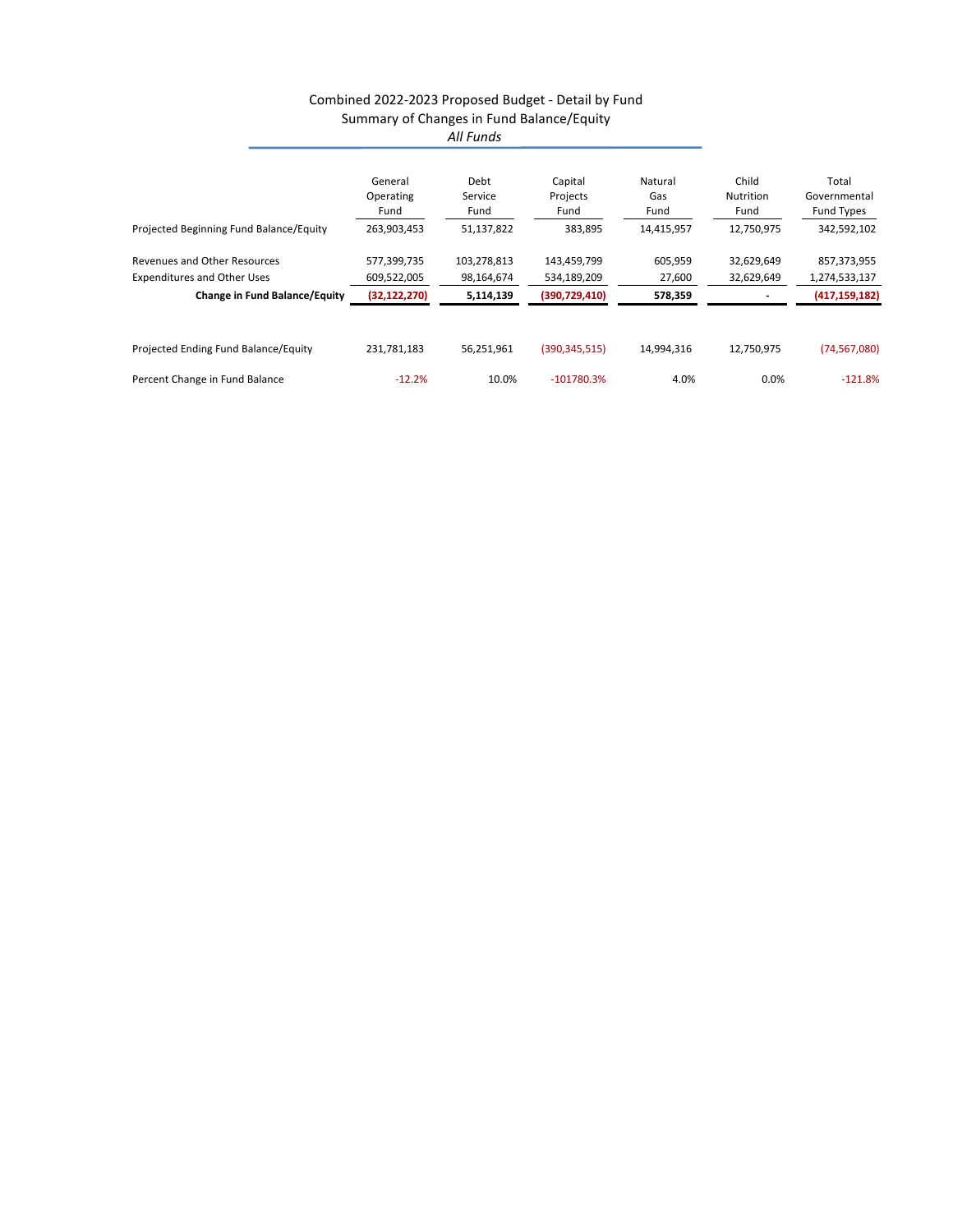#### Combined 2022‐2023 Proposed Budget ‐ Detail by Fund Summary of Changes in Fund Balance/Equity *All Funds*

|                                         | General        | Debt        | Capital         | Natural    | Child      | Total           |
|-----------------------------------------|----------------|-------------|-----------------|------------|------------|-----------------|
|                                         | Operating      | Service     | Projects        | Gas        | Nutrition  | Governmental    |
|                                         | Fund           | Fund        | Fund            | Fund       | Fund       | Fund Types      |
| Projected Beginning Fund Balance/Equity | 263,903,453    | 51,137,822  | 383,895         | 14,415,957 | 12,750,975 | 342,592,102     |
| <b>Revenues and Other Resources</b>     | 577,399,735    | 103,278,813 | 143,459,799     | 605,959    | 32,629,649 | 857,373,955     |
| <b>Expenditures and Other Uses</b>      | 609,522,005    | 98,164,674  | 534,189,209     | 27,600     | 32,629,649 | 1,274,533,137   |
| <b>Change in Fund Balance/Equity</b>    | (32, 122, 270) | 5,114,139   | (390, 729, 410) | 578,359    |            | (417, 159, 182) |
|                                         |                |             |                 |            |            |                 |
| Projected Ending Fund Balance/Equity    | 231,781,183    | 56,251,961  | (390, 345, 515) | 14,994,316 | 12,750,975 | (74, 567, 080)  |
| Percent Change in Fund Balance          | $-12.2%$       | 10.0%       | $-101780.3%$    | 4.0%       | 0.0%       | $-121.8%$       |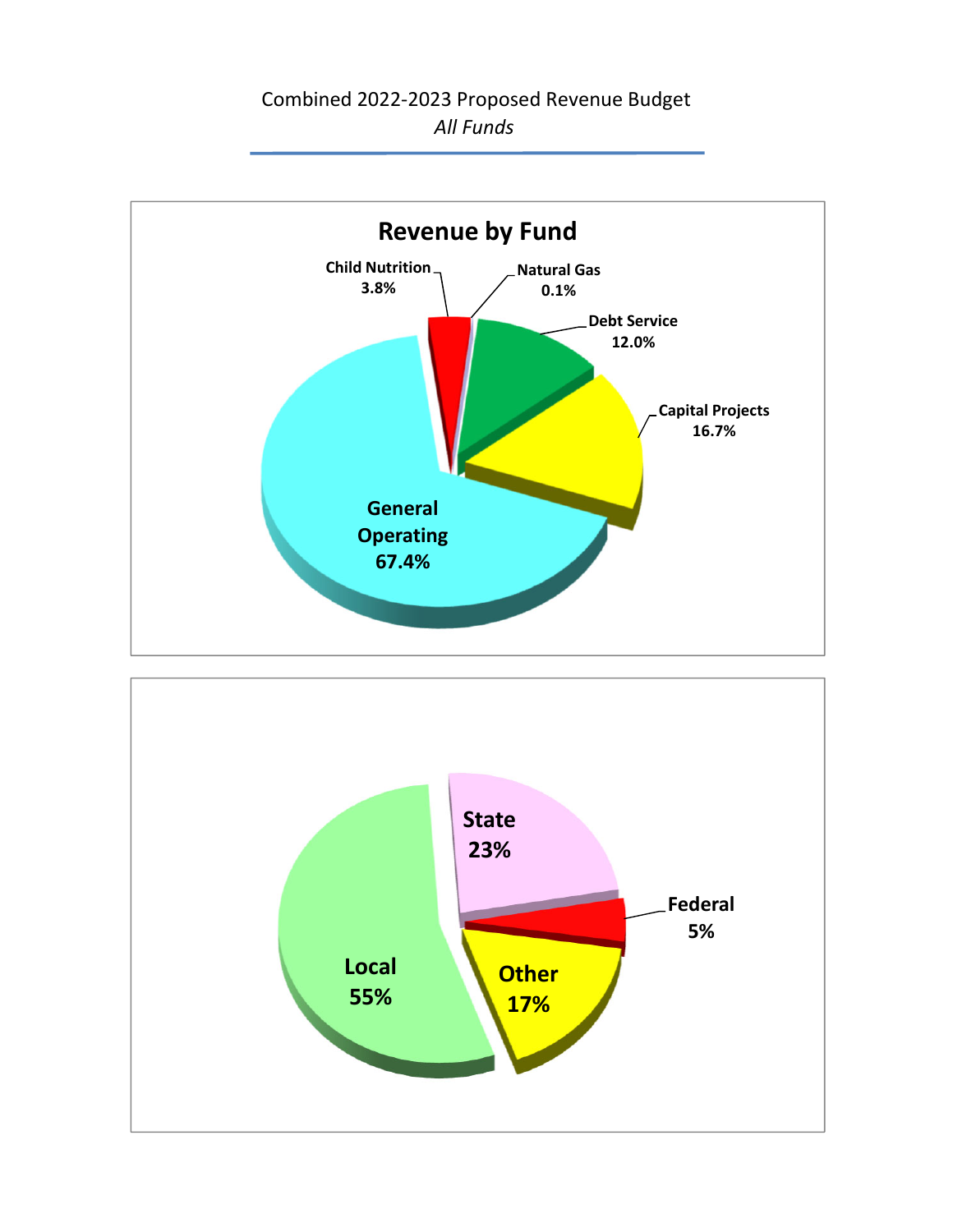Combined 2022‐2023 Proposed Revenue Budget *All Funds*